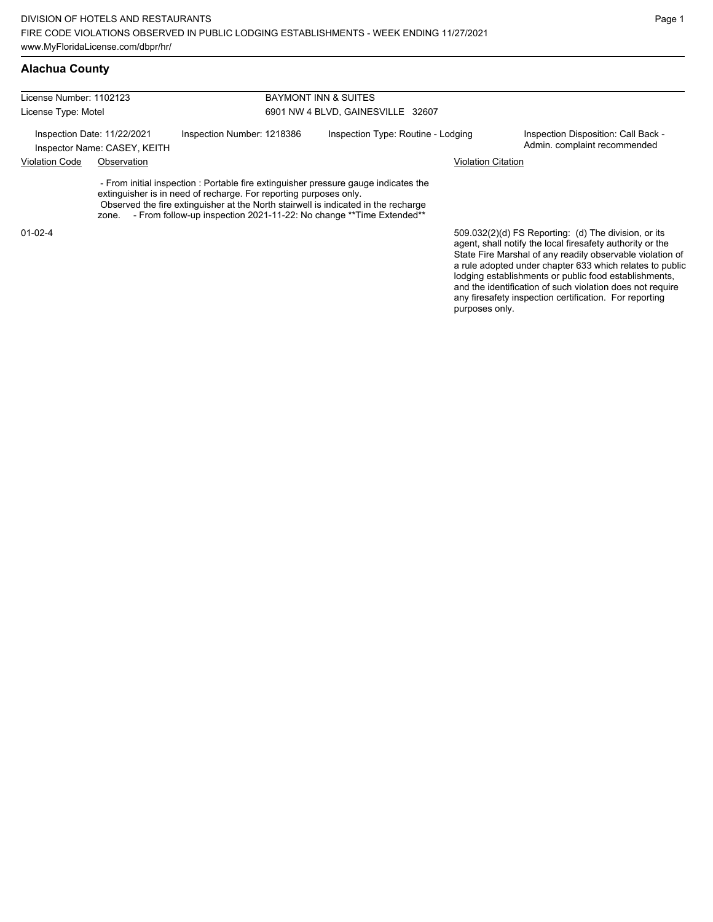## **Alachua County**

| License Number: 1102123 |                                                             |                                                                                                                                                                                                                                                                                                                        | <b>BAYMONT INN &amp; SUITES</b>    |                                                                                                                                                                                |  |  |  |
|-------------------------|-------------------------------------------------------------|------------------------------------------------------------------------------------------------------------------------------------------------------------------------------------------------------------------------------------------------------------------------------------------------------------------------|------------------------------------|--------------------------------------------------------------------------------------------------------------------------------------------------------------------------------|--|--|--|
| License Type: Motel     |                                                             |                                                                                                                                                                                                                                                                                                                        | 6901 NW 4 BLVD, GAINESVILLE 32607  |                                                                                                                                                                                |  |  |  |
|                         | Inspection Date: 11/22/2021<br>Inspector Name: CASEY, KEITH | Inspection Number: 1218386                                                                                                                                                                                                                                                                                             | Inspection Type: Routine - Lodging | Inspection Disposition: Call Back -<br>Admin. complaint recommended                                                                                                            |  |  |  |
| <b>Violation Code</b>   | Observation                                                 |                                                                                                                                                                                                                                                                                                                        |                                    | <b>Violation Citation</b>                                                                                                                                                      |  |  |  |
|                         | zone.                                                       | - From initial inspection : Portable fire extinguisher pressure gauge indicates the<br>extinguisher is in need of recharge. For reporting purposes only.<br>Observed the fire extinguisher at the North stairwell is indicated in the recharge<br>- From follow-up inspection 2021-11-22: No change ** Time Extended** |                                    |                                                                                                                                                                                |  |  |  |
| $01 - 02 - 4$           |                                                             |                                                                                                                                                                                                                                                                                                                        |                                    | 509.032(2)(d) FS Reporting: (d) The division, or its<br>agent, shall notify the local firesafety authority or the<br>State Fire Marshal of any readily observable violation of |  |  |  |

State Fire Marshal of any readily observable violation of a rule adopted under chapter 633 which relates to public lodging establishments or public food establishments, and the identification of such violation does not require any firesafety inspection certification. For reporting purposes only.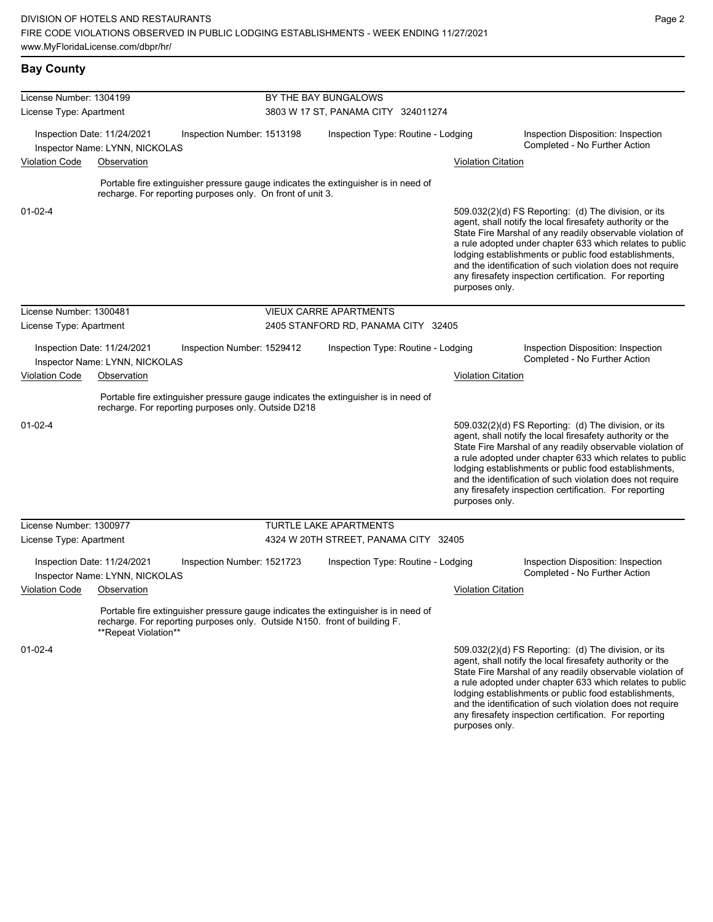and the identification of such violation does not require any firesafety inspection certification. For reporting

| <b>Bay County</b>       |                                                               |                                                                           |                                     |                                                                                    |                           |                                                                                                                                                                                                                                                                                                                                                                                                                            |  |  |
|-------------------------|---------------------------------------------------------------|---------------------------------------------------------------------------|-------------------------------------|------------------------------------------------------------------------------------|---------------------------|----------------------------------------------------------------------------------------------------------------------------------------------------------------------------------------------------------------------------------------------------------------------------------------------------------------------------------------------------------------------------------------------------------------------------|--|--|
| License Number: 1304199 |                                                               |                                                                           | BY THE BAY BUNGALOWS                |                                                                                    |                           |                                                                                                                                                                                                                                                                                                                                                                                                                            |  |  |
| License Type: Apartment |                                                               |                                                                           | 3803 W 17 ST, PANAMA CITY 324011274 |                                                                                    |                           |                                                                                                                                                                                                                                                                                                                                                                                                                            |  |  |
|                         | Inspection Date: 11/24/2021<br>Inspector Name: LYNN, NICKOLAS | Inspection Number: 1513198                                                |                                     | Inspection Type: Routine - Lodging                                                 |                           | Inspection Disposition: Inspection<br>Completed - No Further Action                                                                                                                                                                                                                                                                                                                                                        |  |  |
| <b>Violation Code</b>   | Observation                                                   |                                                                           |                                     |                                                                                    | <b>Violation Citation</b> |                                                                                                                                                                                                                                                                                                                                                                                                                            |  |  |
|                         |                                                               | recharge. For reporting purposes only. On front of unit 3.                |                                     | Portable fire extinguisher pressure gauge indicates the extinguisher is in need of |                           |                                                                                                                                                                                                                                                                                                                                                                                                                            |  |  |
| $01 - 02 - 4$           |                                                               |                                                                           |                                     |                                                                                    | purposes only.            | 509.032(2)(d) FS Reporting: (d) The division, or its<br>agent, shall notify the local firesafety authority or the<br>State Fire Marshal of any readily observable violation of<br>a rule adopted under chapter 633 which relates to public<br>lodging establishments or public food establishments,<br>and the identification of such violation does not require<br>any firesafety inspection certification. For reporting |  |  |
| License Number: 1300481 |                                                               |                                                                           |                                     | <b>VIEUX CARRE APARTMENTS</b>                                                      |                           |                                                                                                                                                                                                                                                                                                                                                                                                                            |  |  |
| License Type: Apartment |                                                               |                                                                           | 2405 STANFORD RD, PANAMA CITY 32405 |                                                                                    |                           |                                                                                                                                                                                                                                                                                                                                                                                                                            |  |  |
|                         | Inspection Date: 11/24/2021<br>Inspector Name: LYNN, NICKOLAS | Inspection Number: 1529412                                                |                                     | Inspection Type: Routine - Lodging                                                 |                           | Inspection Disposition: Inspection<br>Completed - No Further Action                                                                                                                                                                                                                                                                                                                                                        |  |  |
| <b>Violation Code</b>   | Observation                                                   |                                                                           |                                     |                                                                                    | <b>Violation Citation</b> |                                                                                                                                                                                                                                                                                                                                                                                                                            |  |  |
|                         |                                                               | recharge. For reporting purposes only. Outside D218                       |                                     | Portable fire extinguisher pressure gauge indicates the extinguisher is in need of |                           |                                                                                                                                                                                                                                                                                                                                                                                                                            |  |  |
| $01 - 02 - 4$           |                                                               |                                                                           |                                     |                                                                                    | purposes only.            | 509.032(2)(d) FS Reporting: (d) The division, or its<br>agent, shall notify the local firesafety authority or the<br>State Fire Marshal of any readily observable violation of<br>a rule adopted under chapter 633 which relates to public<br>lodging establishments or public food establishments,<br>and the identification of such violation does not require<br>any firesafety inspection certification. For reporting |  |  |
| License Number: 1300977 |                                                               |                                                                           |                                     | <b>TURTLE LAKE APARTMENTS</b>                                                      |                           |                                                                                                                                                                                                                                                                                                                                                                                                                            |  |  |
| License Type: Apartment |                                                               |                                                                           |                                     | 4324 W 20TH STREET, PANAMA CITY 32405                                              |                           |                                                                                                                                                                                                                                                                                                                                                                                                                            |  |  |
|                         | Inspection Date: 11/24/2021<br>Inspector Name: LYNN, NICKOLAS | Inspection Number: 1521723                                                |                                     | Inspection Type: Routine - Lodging                                                 |                           | Inspection Disposition: Inspection<br>Completed - No Further Action                                                                                                                                                                                                                                                                                                                                                        |  |  |
| <b>Violation Code</b>   | Observation                                                   |                                                                           |                                     |                                                                                    | <b>Violation Citation</b> |                                                                                                                                                                                                                                                                                                                                                                                                                            |  |  |
|                         | **Repeat Violation**                                          | recharge. For reporting purposes only. Outside N150. front of building F. |                                     | Portable fire extinguisher pressure gauge indicates the extinguisher is in need of |                           |                                                                                                                                                                                                                                                                                                                                                                                                                            |  |  |
| $01 - 02 - 4$           |                                                               |                                                                           |                                     |                                                                                    |                           | 509.032(2)(d) FS Reporting: (d) The division, or its<br>agent, shall notify the local firesafety authority or the<br>State Fire Marshal of any readily observable violation of<br>a rule adopted under chapter 633 which relates to public<br>lodging establishments or public food establishments,                                                                                                                        |  |  |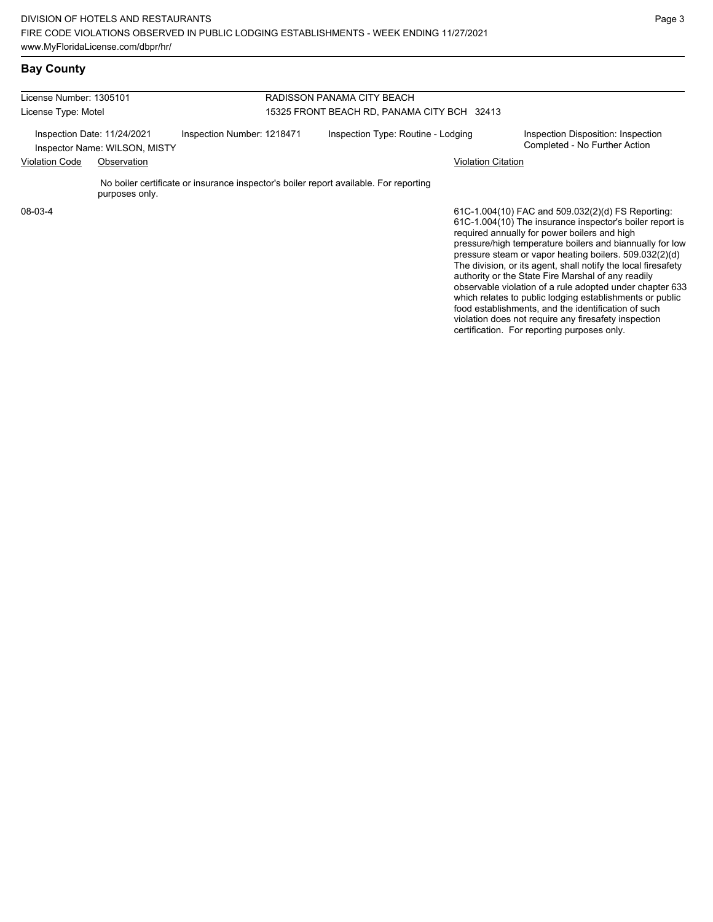| License Number: 1305101                                      |                |                                                                                       | RADISSON PANAMA CITY BEACH                  |                                                                                                                                                                                                                                          |  |  |
|--------------------------------------------------------------|----------------|---------------------------------------------------------------------------------------|---------------------------------------------|------------------------------------------------------------------------------------------------------------------------------------------------------------------------------------------------------------------------------------------|--|--|
| License Type: Motel                                          |                |                                                                                       | 15325 FRONT BEACH RD, PANAMA CITY BCH 32413 |                                                                                                                                                                                                                                          |  |  |
| Inspection Date: 11/24/2021<br>Inspector Name: WILSON, MISTY |                | Inspection Number: 1218471                                                            | Inspection Type: Routine - Lodging          | Inspection Disposition: Inspection<br>Completed - No Further Action                                                                                                                                                                      |  |  |
| <b>Violation Code</b>                                        | Observation    |                                                                                       | <b>Violation Citation</b>                   |                                                                                                                                                                                                                                          |  |  |
|                                                              | purposes only. | No boiler certificate or insurance inspector's boiler report available. For reporting |                                             |                                                                                                                                                                                                                                          |  |  |
| 08-03-4                                                      |                |                                                                                       |                                             | 61C-1.004(10) FAC and 509.032(2)(d) FS Reporting:<br>61C-1.004(10) The insurance inspector's boiler report is<br>required annually for power boilers and high<br>برزوا وجلاب بالمستحدث والمستري ومروائهما بمستلف ويستحيط والمثوا وسيتمرض |  |  |

61C-1.004(10) The insurance inspector's boiler report is pressure/high temperature boilers and biannually for low pressure steam or vapor heating boilers. 509.032(2)(d) The division, or its agent, shall notify the local firesafety authority or the State Fire Marshal of any readily observable violation of a rule adopted under chapter 633 which relates to public lodging establishments or public food establishments, and the identification of such violation does not require any firesafety inspection certification. For reporting purposes only.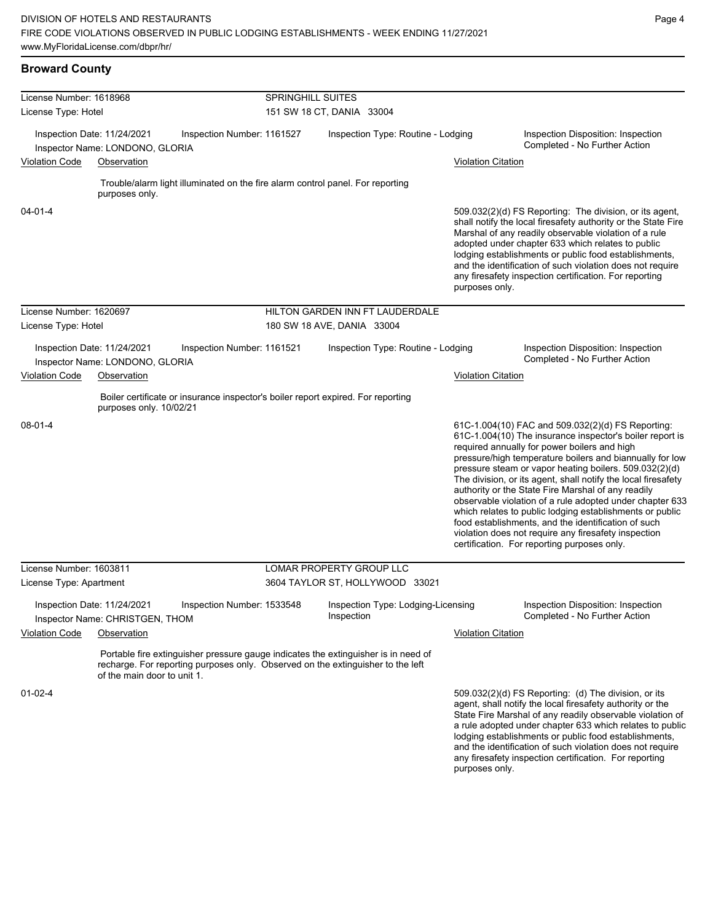| <b>Broward County</b>                                                                        |                                                                |                                                                                                                                                                       |                            |            |                                    |                                                                     |                                                                                                                                                                                                                                                                                                                                                                                                                                                                                                                                                                                                                                                                                                  |  |  |
|----------------------------------------------------------------------------------------------|----------------------------------------------------------------|-----------------------------------------------------------------------------------------------------------------------------------------------------------------------|----------------------------|------------|------------------------------------|---------------------------------------------------------------------|--------------------------------------------------------------------------------------------------------------------------------------------------------------------------------------------------------------------------------------------------------------------------------------------------------------------------------------------------------------------------------------------------------------------------------------------------------------------------------------------------------------------------------------------------------------------------------------------------------------------------------------------------------------------------------------------------|--|--|
| License Number: 1618968                                                                      |                                                                |                                                                                                                                                                       | <b>SPRINGHILL SUITES</b>   |            |                                    |                                                                     |                                                                                                                                                                                                                                                                                                                                                                                                                                                                                                                                                                                                                                                                                                  |  |  |
| License Type: Hotel                                                                          |                                                                |                                                                                                                                                                       | 151 SW 18 CT, DANIA 33004  |            |                                    |                                                                     |                                                                                                                                                                                                                                                                                                                                                                                                                                                                                                                                                                                                                                                                                                  |  |  |
| Inspection Date: 11/24/2021<br>Inspection Number: 1161527<br>Inspector Name: LONDONO, GLORIA |                                                                | Inspection Type: Routine - Lodging                                                                                                                                    |                            |            |                                    | Inspection Disposition: Inspection<br>Completed - No Further Action |                                                                                                                                                                                                                                                                                                                                                                                                                                                                                                                                                                                                                                                                                                  |  |  |
| <b>Violation Code</b>                                                                        | Observation                                                    |                                                                                                                                                                       |                            |            |                                    | <b>Violation Citation</b>                                           |                                                                                                                                                                                                                                                                                                                                                                                                                                                                                                                                                                                                                                                                                                  |  |  |
|                                                                                              | purposes only.                                                 | Trouble/alarm light illuminated on the fire alarm control panel. For reporting                                                                                        |                            |            |                                    |                                                                     |                                                                                                                                                                                                                                                                                                                                                                                                                                                                                                                                                                                                                                                                                                  |  |  |
| 04-01-4                                                                                      |                                                                |                                                                                                                                                                       |                            |            |                                    | purposes only.                                                      | 509.032(2)(d) FS Reporting: The division, or its agent,<br>shall notify the local firesafety authority or the State Fire<br>Marshal of any readily observable violation of a rule<br>adopted under chapter 633 which relates to public<br>lodging establishments or public food establishments,<br>and the identification of such violation does not require<br>any firesafety inspection certification. For reporting                                                                                                                                                                                                                                                                           |  |  |
| License Number: 1620697                                                                      |                                                                |                                                                                                                                                                       |                            |            | HILTON GARDEN INN FT LAUDERDALE    |                                                                     |                                                                                                                                                                                                                                                                                                                                                                                                                                                                                                                                                                                                                                                                                                  |  |  |
| License Type: Hotel                                                                          |                                                                |                                                                                                                                                                       | 180 SW 18 AVE, DANIA 33004 |            |                                    |                                                                     |                                                                                                                                                                                                                                                                                                                                                                                                                                                                                                                                                                                                                                                                                                  |  |  |
|                                                                                              | Inspection Date: 11/24/2021<br>Inspector Name: LONDONO, GLORIA | Inspection Number: 1161521                                                                                                                                            |                            |            | Inspection Type: Routine - Lodging |                                                                     | Inspection Disposition: Inspection<br>Completed - No Further Action                                                                                                                                                                                                                                                                                                                                                                                                                                                                                                                                                                                                                              |  |  |
| <b>Violation Code</b>                                                                        | Observation                                                    |                                                                                                                                                                       |                            |            |                                    | <b>Violation Citation</b>                                           |                                                                                                                                                                                                                                                                                                                                                                                                                                                                                                                                                                                                                                                                                                  |  |  |
|                                                                                              | purposes only. 10/02/21                                        | Boiler certificate or insurance inspector's boiler report expired. For reporting                                                                                      |                            |            |                                    |                                                                     |                                                                                                                                                                                                                                                                                                                                                                                                                                                                                                                                                                                                                                                                                                  |  |  |
| 08-01-4                                                                                      |                                                                |                                                                                                                                                                       |                            |            |                                    |                                                                     | 61C-1.004(10) FAC and 509.032(2)(d) FS Reporting:<br>61C-1.004(10) The insurance inspector's boiler report is<br>required annually for power boilers and high<br>pressure/high temperature boilers and biannually for low<br>pressure steam or vapor heating boilers. 509.032(2)(d)<br>The division, or its agent, shall notify the local firesafety<br>authority or the State Fire Marshal of any readily<br>observable violation of a rule adopted under chapter 633<br>which relates to public lodging establishments or public<br>food establishments, and the identification of such<br>violation does not require any firesafety inspection<br>certification. For reporting purposes only. |  |  |
| License Number: 1603811                                                                      |                                                                |                                                                                                                                                                       | LOMAR PROPERTY GROUP LLC   |            |                                    |                                                                     |                                                                                                                                                                                                                                                                                                                                                                                                                                                                                                                                                                                                                                                                                                  |  |  |
| License Type: Apartment                                                                      |                                                                |                                                                                                                                                                       |                            |            | 3604 TAYLOR ST, HOLLYWOOD 33021    |                                                                     |                                                                                                                                                                                                                                                                                                                                                                                                                                                                                                                                                                                                                                                                                                  |  |  |
|                                                                                              | Inspection Date: 11/24/2021<br>Inspector Name: CHRISTGEN, THOM | Inspection Number: 1533548                                                                                                                                            |                            | Inspection | Inspection Type: Lodging-Licensing |                                                                     | Inspection Disposition: Inspection<br>Completed - No Further Action                                                                                                                                                                                                                                                                                                                                                                                                                                                                                                                                                                                                                              |  |  |
| <b>Violation Code</b>                                                                        | Observation                                                    |                                                                                                                                                                       |                            |            |                                    | <b>Violation Citation</b>                                           |                                                                                                                                                                                                                                                                                                                                                                                                                                                                                                                                                                                                                                                                                                  |  |  |
|                                                                                              | of the main door to unit 1.                                    | Portable fire extinguisher pressure gauge indicates the extinguisher is in need of<br>recharge. For reporting purposes only. Observed on the extinguisher to the left |                            |            |                                    |                                                                     |                                                                                                                                                                                                                                                                                                                                                                                                                                                                                                                                                                                                                                                                                                  |  |  |
| $01 - 02 - 4$                                                                                |                                                                |                                                                                                                                                                       |                            |            |                                    | purposes only.                                                      | 509.032(2)(d) FS Reporting: (d) The division, or its<br>agent, shall notify the local firesafety authority or the<br>State Fire Marshal of any readily observable violation of<br>a rule adopted under chapter 633 which relates to public<br>lodging establishments or public food establishments,<br>and the identification of such violation does not require<br>any firesafety inspection certification. For reporting                                                                                                                                                                                                                                                                       |  |  |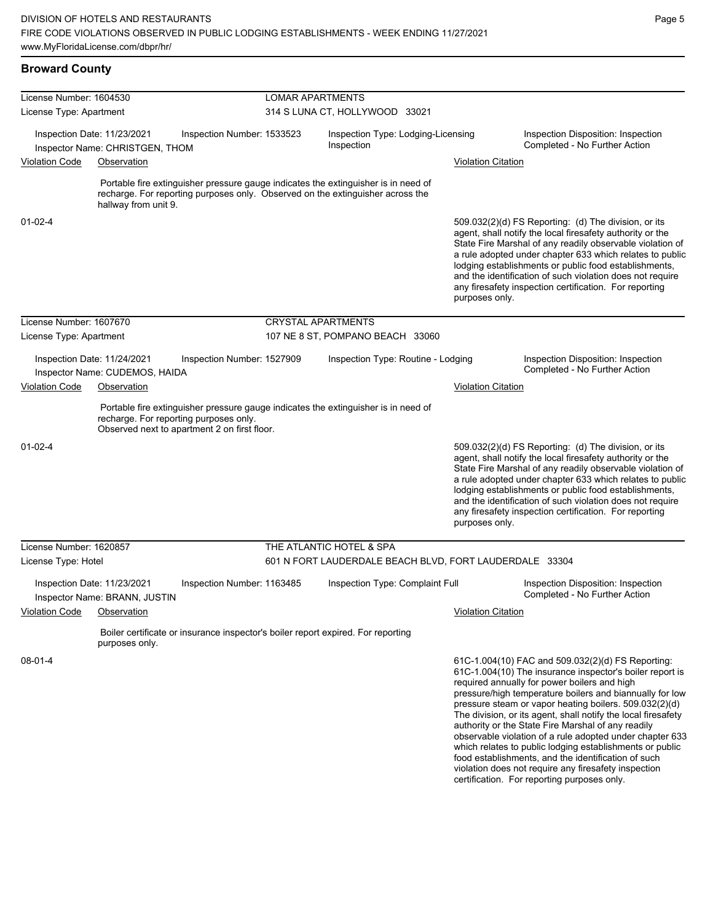| <b>Broward County</b>   |                                                                |                                                                                                                                                                      |                                |            |                                                         |                           |                                                                                                                                                                                                                                                                                                                                                                                                                                                                                                                                                                                                                                                                                                  |
|-------------------------|----------------------------------------------------------------|----------------------------------------------------------------------------------------------------------------------------------------------------------------------|--------------------------------|------------|---------------------------------------------------------|---------------------------|--------------------------------------------------------------------------------------------------------------------------------------------------------------------------------------------------------------------------------------------------------------------------------------------------------------------------------------------------------------------------------------------------------------------------------------------------------------------------------------------------------------------------------------------------------------------------------------------------------------------------------------------------------------------------------------------------|
| License Number: 1604530 |                                                                |                                                                                                                                                                      | <b>LOMAR APARTMENTS</b>        |            |                                                         |                           |                                                                                                                                                                                                                                                                                                                                                                                                                                                                                                                                                                                                                                                                                                  |
| License Type: Apartment |                                                                |                                                                                                                                                                      | 314 S LUNA CT, HOLLYWOOD 33021 |            |                                                         |                           |                                                                                                                                                                                                                                                                                                                                                                                                                                                                                                                                                                                                                                                                                                  |
|                         | Inspection Date: 11/23/2021<br>Inspector Name: CHRISTGEN, THOM | Inspection Number: 1533523                                                                                                                                           |                                | Inspection | Inspection Type: Lodging-Licensing                      |                           | Inspection Disposition: Inspection<br>Completed - No Further Action                                                                                                                                                                                                                                                                                                                                                                                                                                                                                                                                                                                                                              |
| <b>Violation Code</b>   | Observation                                                    |                                                                                                                                                                      |                                |            |                                                         | <b>Violation Citation</b> |                                                                                                                                                                                                                                                                                                                                                                                                                                                                                                                                                                                                                                                                                                  |
|                         | hallway from unit 9.                                           | Portable fire extinguisher pressure gauge indicates the extinguisher is in need of<br>recharge. For reporting purposes only. Observed on the extinguisher across the |                                |            |                                                         |                           |                                                                                                                                                                                                                                                                                                                                                                                                                                                                                                                                                                                                                                                                                                  |
| $01 - 02 - 4$           |                                                                |                                                                                                                                                                      |                                |            |                                                         | purposes only.            | 509.032(2)(d) FS Reporting: (d) The division, or its<br>agent, shall notify the local firesafety authority or the<br>State Fire Marshal of any readily observable violation of<br>a rule adopted under chapter 633 which relates to public<br>lodging establishments or public food establishments,<br>and the identification of such violation does not require<br>any firesafety inspection certification. For reporting                                                                                                                                                                                                                                                                       |
| License Number: 1607670 |                                                                |                                                                                                                                                                      | <b>CRYSTAL APARTMENTS</b>      |            |                                                         |                           |                                                                                                                                                                                                                                                                                                                                                                                                                                                                                                                                                                                                                                                                                                  |
| License Type: Apartment |                                                                |                                                                                                                                                                      |                                |            | 107 NE 8 ST, POMPANO BEACH 33060                        |                           |                                                                                                                                                                                                                                                                                                                                                                                                                                                                                                                                                                                                                                                                                                  |
|                         | Inspection Date: 11/24/2021<br>Inspector Name: CUDEMOS, HAIDA  | Inspection Number: 1527909                                                                                                                                           |                                |            | Inspection Type: Routine - Lodging                      |                           | Inspection Disposition: Inspection<br>Completed - No Further Action                                                                                                                                                                                                                                                                                                                                                                                                                                                                                                                                                                                                                              |
| <b>Violation Code</b>   | Observation                                                    |                                                                                                                                                                      |                                |            |                                                         | <b>Violation Citation</b> |                                                                                                                                                                                                                                                                                                                                                                                                                                                                                                                                                                                                                                                                                                  |
|                         | recharge. For reporting purposes only.                         | Portable fire extinguisher pressure gauge indicates the extinguisher is in need of<br>Observed next to apartment 2 on first floor.                                   |                                |            |                                                         |                           |                                                                                                                                                                                                                                                                                                                                                                                                                                                                                                                                                                                                                                                                                                  |
| $01 - 02 - 4$           |                                                                |                                                                                                                                                                      |                                |            |                                                         | purposes only.            | 509.032(2)(d) FS Reporting: (d) The division, or its<br>agent, shall notify the local firesafety authority or the<br>State Fire Marshal of any readily observable violation of<br>a rule adopted under chapter 633 which relates to public<br>lodging establishments or public food establishments,<br>and the identification of such violation does not require<br>any firesafety inspection certification. For reporting                                                                                                                                                                                                                                                                       |
| License Number: 1620857 |                                                                |                                                                                                                                                                      | THE ATLANTIC HOTEL & SPA       |            |                                                         |                           |                                                                                                                                                                                                                                                                                                                                                                                                                                                                                                                                                                                                                                                                                                  |
| License Type: Hotel     |                                                                |                                                                                                                                                                      |                                |            | 601 N FORT LAUDERDALE BEACH BLVD, FORT LAUDERDALE 33304 |                           |                                                                                                                                                                                                                                                                                                                                                                                                                                                                                                                                                                                                                                                                                                  |
|                         | Inspection Date: 11/23/2021<br>Inspector Name: BRANN, JUSTIN   | Inspection Number: 1163485                                                                                                                                           |                                |            | Inspection Type: Complaint Full                         |                           | Inspection Disposition: Inspection<br>Completed - No Further Action                                                                                                                                                                                                                                                                                                                                                                                                                                                                                                                                                                                                                              |
| Violation Code          | Observation                                                    | Boiler certificate or insurance inspector's boiler report expired. For reporting                                                                                     |                                |            |                                                         | <b>Violation Citation</b> |                                                                                                                                                                                                                                                                                                                                                                                                                                                                                                                                                                                                                                                                                                  |
|                         | purposes only.                                                 |                                                                                                                                                                      |                                |            |                                                         |                           |                                                                                                                                                                                                                                                                                                                                                                                                                                                                                                                                                                                                                                                                                                  |
| 08-01-4                 |                                                                |                                                                                                                                                                      |                                |            |                                                         |                           | 61C-1.004(10) FAC and 509.032(2)(d) FS Reporting:<br>61C-1.004(10) The insurance inspector's boiler report is<br>required annually for power boilers and high<br>pressure/high temperature boilers and biannually for low<br>pressure steam or vapor heating boilers. 509.032(2)(d)<br>The division, or its agent, shall notify the local firesafety<br>authority or the State Fire Marshal of any readily<br>observable violation of a rule adopted under chapter 633<br>which relates to public lodging establishments or public<br>food establishments, and the identification of such<br>violation does not require any firesafety inspection<br>certification. For reporting purposes only. |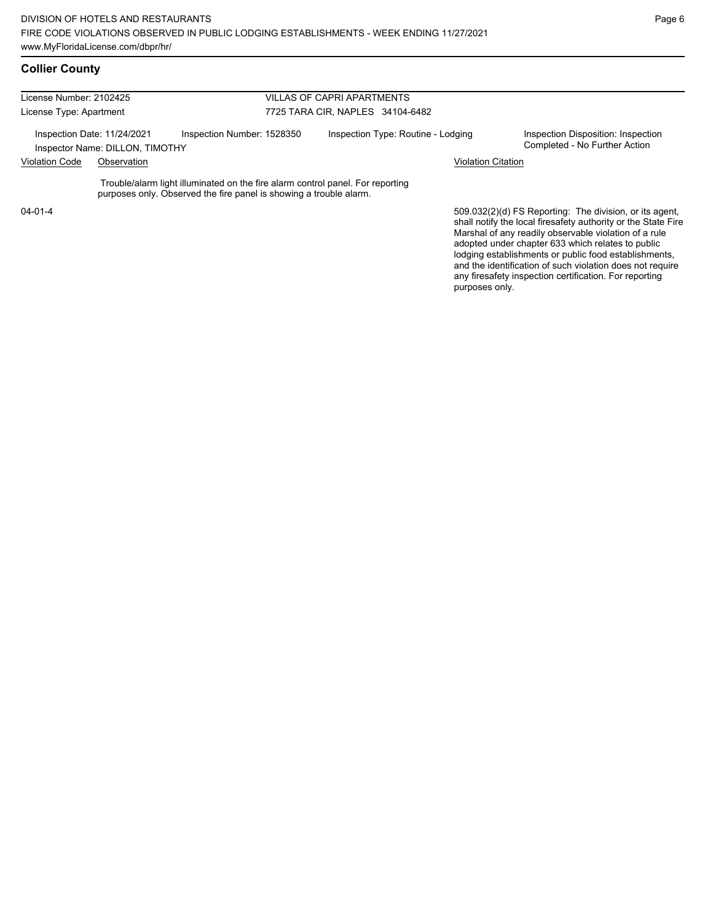## **Collier County**

| License Number: 2102425 |                                                                |                                                                                                                                                      | <b>VILLAS OF CAPRI APARTMENTS</b>  |                                                                                                                                                                                   |  |  |  |  |
|-------------------------|----------------------------------------------------------------|------------------------------------------------------------------------------------------------------------------------------------------------------|------------------------------------|-----------------------------------------------------------------------------------------------------------------------------------------------------------------------------------|--|--|--|--|
| License Type: Apartment |                                                                |                                                                                                                                                      | 7725 TARA CIR, NAPLES 34104-6482   |                                                                                                                                                                                   |  |  |  |  |
|                         | Inspection Date: 11/24/2021<br>Inspector Name: DILLON, TIMOTHY | Inspection Number: 1528350                                                                                                                           | Inspection Type: Routine - Lodging | Inspection Disposition: Inspection<br>Completed - No Further Action                                                                                                               |  |  |  |  |
| <b>Violation Code</b>   | Observation                                                    |                                                                                                                                                      | <b>Violation Citation</b>          |                                                                                                                                                                                   |  |  |  |  |
|                         |                                                                | Trouble/alarm light illuminated on the fire alarm control panel. For reporting<br>purposes only. Observed the fire panel is showing a trouble alarm. |                                    |                                                                                                                                                                                   |  |  |  |  |
| $04 - 01 - 4$           |                                                                |                                                                                                                                                      |                                    | 509.032(2)(d) FS Reporting: The division, or its agent,<br>shall notify the local firesafety authority or the State Fire<br>Marshal of any readily observable violation of a rule |  |  |  |  |

adopted under chapter 633 which relates to public lodging establishments or public food establishments, and the identification of such violation does not require any firesafety inspection certification. For reporting

purposes only.

Page 6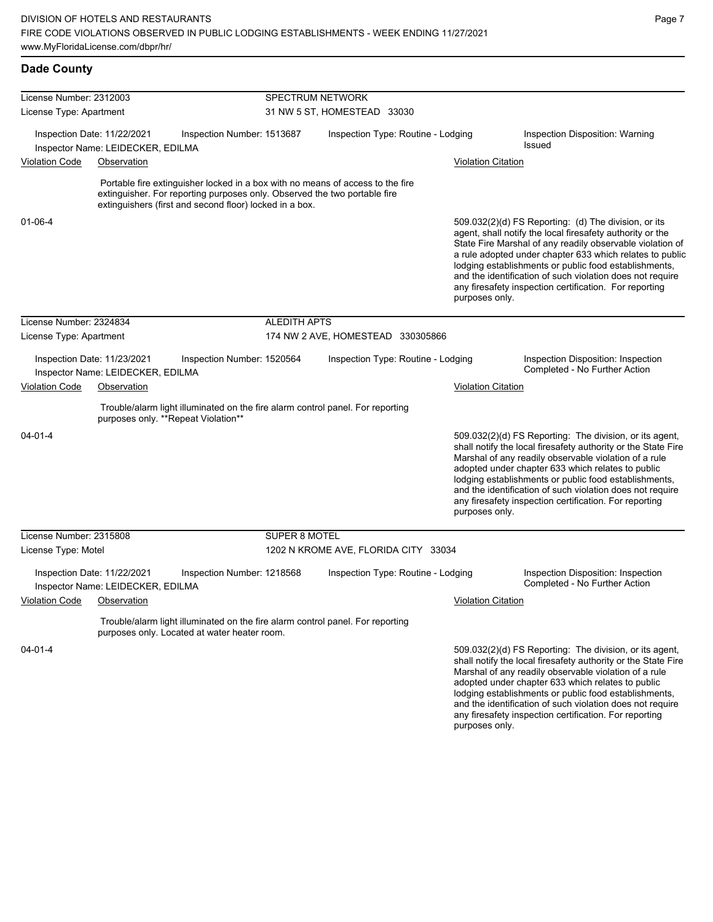lodging establishments or public food establishments, and the identification of such violation does not require any firesafety inspection certification. For reporting

| <b>Dade County</b>                                               |                                                                  |                                                                                                                                                                                                                        |                             |                                      |                           |                                                                                                                                                                                                                                                                                                                                                                                                                            |  |  |
|------------------------------------------------------------------|------------------------------------------------------------------|------------------------------------------------------------------------------------------------------------------------------------------------------------------------------------------------------------------------|-----------------------------|--------------------------------------|---------------------------|----------------------------------------------------------------------------------------------------------------------------------------------------------------------------------------------------------------------------------------------------------------------------------------------------------------------------------------------------------------------------------------------------------------------------|--|--|
| License Number: 2312003                                          |                                                                  |                                                                                                                                                                                                                        | <b>SPECTRUM NETWORK</b>     |                                      |                           |                                                                                                                                                                                                                                                                                                                                                                                                                            |  |  |
| License Type: Apartment                                          |                                                                  |                                                                                                                                                                                                                        | 31 NW 5 ST, HOMESTEAD 33030 |                                      |                           |                                                                                                                                                                                                                                                                                                                                                                                                                            |  |  |
| Inspection Date: 11/22/2021<br>Inspector Name: LEIDECKER, EDILMA |                                                                  | Inspection Number: 1513687                                                                                                                                                                                             |                             | Inspection Type: Routine - Lodging   |                           | Inspection Disposition: Warning<br><b>Issued</b>                                                                                                                                                                                                                                                                                                                                                                           |  |  |
| <b>Violation Code</b>                                            | Observation                                                      |                                                                                                                                                                                                                        |                             |                                      | Violation Citation        |                                                                                                                                                                                                                                                                                                                                                                                                                            |  |  |
|                                                                  |                                                                  | Portable fire extinguisher locked in a box with no means of access to the fire<br>extinguisher. For reporting purposes only. Observed the two portable fire<br>extinguishers (first and second floor) locked in a box. |                             |                                      |                           |                                                                                                                                                                                                                                                                                                                                                                                                                            |  |  |
| $01 - 06 - 4$                                                    |                                                                  |                                                                                                                                                                                                                        |                             |                                      | purposes only.            | 509.032(2)(d) FS Reporting: (d) The division, or its<br>agent, shall notify the local firesafety authority or the<br>State Fire Marshal of any readily observable violation of<br>a rule adopted under chapter 633 which relates to public<br>lodging establishments or public food establishments,<br>and the identification of such violation does not require<br>any firesafety inspection certification. For reporting |  |  |
| License Number: 2324834                                          |                                                                  |                                                                                                                                                                                                                        | <b>ALEDITH APTS</b>         |                                      |                           |                                                                                                                                                                                                                                                                                                                                                                                                                            |  |  |
| License Type: Apartment                                          |                                                                  |                                                                                                                                                                                                                        |                             | 174 NW 2 AVE, HOMESTEAD 330305866    |                           |                                                                                                                                                                                                                                                                                                                                                                                                                            |  |  |
|                                                                  | Inspection Date: 11/23/2021<br>Inspector Name: LEIDECKER, EDILMA | Inspection Number: 1520564                                                                                                                                                                                             |                             | Inspection Type: Routine - Lodging   |                           | Inspection Disposition: Inspection<br>Completed - No Further Action                                                                                                                                                                                                                                                                                                                                                        |  |  |
| <b>Violation Code</b>                                            | Observation                                                      |                                                                                                                                                                                                                        |                             |                                      | <b>Violation Citation</b> |                                                                                                                                                                                                                                                                                                                                                                                                                            |  |  |
|                                                                  |                                                                  | Trouble/alarm light illuminated on the fire alarm control panel. For reporting<br>purposes only. **Repeat Violation**                                                                                                  |                             |                                      |                           |                                                                                                                                                                                                                                                                                                                                                                                                                            |  |  |
| $04 - 01 - 4$                                                    |                                                                  |                                                                                                                                                                                                                        |                             |                                      | purposes only.            | 509.032(2)(d) FS Reporting: The division, or its agent,<br>shall notify the local firesafety authority or the State Fire<br>Marshal of any readily observable violation of a rule<br>adopted under chapter 633 which relates to public<br>lodging establishments or public food establishments,<br>and the identification of such violation does not require<br>any firesafety inspection certification. For reporting     |  |  |
| License Number: 2315808                                          |                                                                  |                                                                                                                                                                                                                        | SUPER 8 MOTEL               |                                      |                           |                                                                                                                                                                                                                                                                                                                                                                                                                            |  |  |
| License Type: Motel                                              |                                                                  |                                                                                                                                                                                                                        |                             | 1202 N KROME AVE, FLORIDA CITY 33034 |                           |                                                                                                                                                                                                                                                                                                                                                                                                                            |  |  |
|                                                                  | Inspection Date: 11/22/2021<br>Inspector Name: LEIDECKER, EDILMA | Inspection Number: 1218568                                                                                                                                                                                             |                             | Inspection Type: Routine - Lodging   |                           | Inspection Disposition: Inspection<br>Completed - No Further Action                                                                                                                                                                                                                                                                                                                                                        |  |  |
| <b>Violation Code</b>                                            | Observation                                                      |                                                                                                                                                                                                                        |                             |                                      | Violation Citation        |                                                                                                                                                                                                                                                                                                                                                                                                                            |  |  |
|                                                                  |                                                                  | Trouble/alarm light illuminated on the fire alarm control panel. For reporting<br>purposes only. Located at water heater room.                                                                                         |                             |                                      |                           |                                                                                                                                                                                                                                                                                                                                                                                                                            |  |  |
| $04 - 01 - 4$                                                    |                                                                  |                                                                                                                                                                                                                        |                             |                                      |                           | 509.032(2)(d) FS Reporting: The division, or its agent,<br>shall notify the local firesafety authority or the State Fire<br>Marshal of any readily observable violation of a rule<br>adopted under chapter 633 which relates to public                                                                                                                                                                                     |  |  |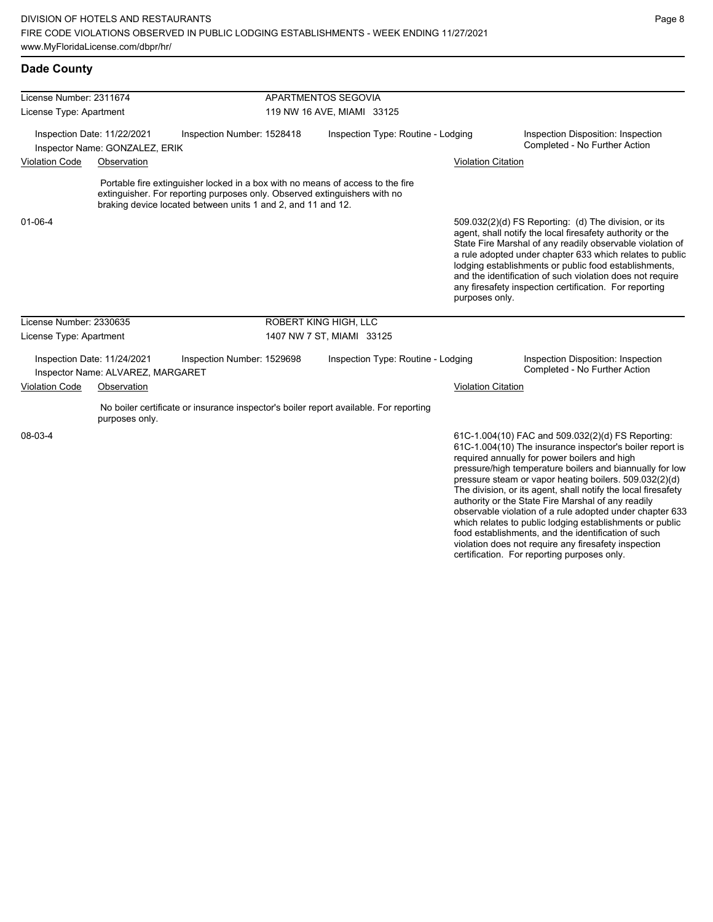| License Number: 2311674 |                                                                  |                                                                                                                                                                                                                             | APARTMENTOS SEGOVIA                |                           |                                                                                                                                                                                                                                                                                                                                                                                                                                                                                                                                                                                           |  |  |
|-------------------------|------------------------------------------------------------------|-----------------------------------------------------------------------------------------------------------------------------------------------------------------------------------------------------------------------------|------------------------------------|---------------------------|-------------------------------------------------------------------------------------------------------------------------------------------------------------------------------------------------------------------------------------------------------------------------------------------------------------------------------------------------------------------------------------------------------------------------------------------------------------------------------------------------------------------------------------------------------------------------------------------|--|--|
| License Type: Apartment |                                                                  |                                                                                                                                                                                                                             | 119 NW 16 AVE, MIAMI 33125         |                           |                                                                                                                                                                                                                                                                                                                                                                                                                                                                                                                                                                                           |  |  |
|                         | Inspection Date: 11/22/2021<br>Inspector Name: GONZALEZ, ERIK    | Inspection Number: 1528418                                                                                                                                                                                                  | Inspection Type: Routine - Lodging |                           | Inspection Disposition: Inspection<br>Completed - No Further Action                                                                                                                                                                                                                                                                                                                                                                                                                                                                                                                       |  |  |
| <b>Violation Code</b>   | Observation                                                      |                                                                                                                                                                                                                             |                                    | <b>Violation Citation</b> |                                                                                                                                                                                                                                                                                                                                                                                                                                                                                                                                                                                           |  |  |
|                         |                                                                  | Portable fire extinguisher locked in a box with no means of access to the fire<br>extinguisher. For reporting purposes only. Observed extinguishers with no<br>braking device located between units 1 and 2, and 11 and 12. |                                    |                           |                                                                                                                                                                                                                                                                                                                                                                                                                                                                                                                                                                                           |  |  |
| $01 - 06 - 4$           |                                                                  |                                                                                                                                                                                                                             |                                    | purposes only.            | 509.032(2)(d) FS Reporting: (d) The division, or its<br>agent, shall notify the local firesafety authority or the<br>State Fire Marshal of any readily observable violation of<br>a rule adopted under chapter 633 which relates to public<br>lodging establishments or public food establishments,<br>and the identification of such violation does not require<br>any firesafety inspection certification. For reporting                                                                                                                                                                |  |  |
| License Number: 2330635 |                                                                  |                                                                                                                                                                                                                             | ROBERT KING HIGH, LLC              |                           |                                                                                                                                                                                                                                                                                                                                                                                                                                                                                                                                                                                           |  |  |
| License Type: Apartment |                                                                  |                                                                                                                                                                                                                             | 1407 NW 7 ST, MIAMI 33125          |                           |                                                                                                                                                                                                                                                                                                                                                                                                                                                                                                                                                                                           |  |  |
|                         | Inspection Date: 11/24/2021<br>Inspector Name: ALVAREZ, MARGARET | Inspection Number: 1529698                                                                                                                                                                                                  | Inspection Type: Routine - Lodging |                           | Inspection Disposition: Inspection<br>Completed - No Further Action                                                                                                                                                                                                                                                                                                                                                                                                                                                                                                                       |  |  |
| <b>Violation Code</b>   | Observation                                                      |                                                                                                                                                                                                                             |                                    | <b>Violation Citation</b> |                                                                                                                                                                                                                                                                                                                                                                                                                                                                                                                                                                                           |  |  |
|                         | purposes only.                                                   | No boiler certificate or insurance inspector's boiler report available. For reporting                                                                                                                                       |                                    |                           |                                                                                                                                                                                                                                                                                                                                                                                                                                                                                                                                                                                           |  |  |
| 08-03-4                 |                                                                  |                                                                                                                                                                                                                             |                                    |                           | 61C-1.004(10) FAC and 509.032(2)(d) FS Reporting:<br>61C-1.004(10) The insurance inspector's boiler report is<br>required annually for power boilers and high<br>pressure/high temperature boilers and biannually for low<br>pressure steam or vapor heating boilers. 509.032(2)(d)<br>The division, or its agent, shall notify the local firesafety<br>authority or the State Fire Marshal of any readily<br>observable violation of a rule adopted under chapter 633<br>which relates to public lodging establishments or public<br>food establishments, and the identification of such |  |  |

violation does not require any firesafety inspection certification. For reporting purposes only.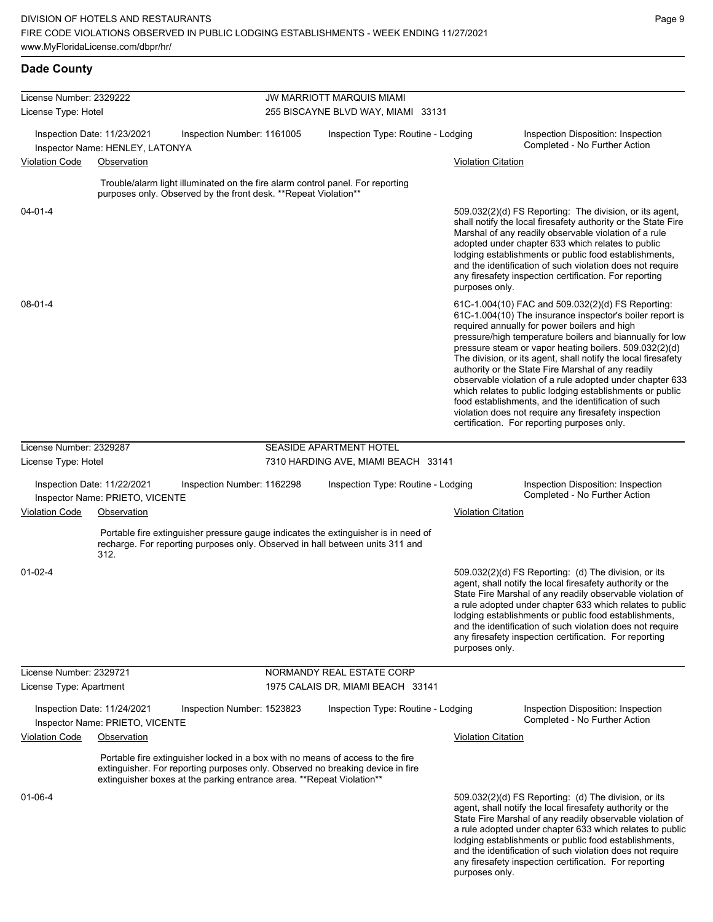| <b>Dade County</b>      |                                                                |                                                                                                                                                          |                                                                                                                                                                     |                           |                                                                                                                                                                                                                                                                                                                                                                                                                                                                                                                                                                                                                                                                                                  |
|-------------------------|----------------------------------------------------------------|----------------------------------------------------------------------------------------------------------------------------------------------------------|---------------------------------------------------------------------------------------------------------------------------------------------------------------------|---------------------------|--------------------------------------------------------------------------------------------------------------------------------------------------------------------------------------------------------------------------------------------------------------------------------------------------------------------------------------------------------------------------------------------------------------------------------------------------------------------------------------------------------------------------------------------------------------------------------------------------------------------------------------------------------------------------------------------------|
| License Number: 2329222 |                                                                |                                                                                                                                                          | <b>JW MARRIOTT MARQUIS MIAMI</b>                                                                                                                                    |                           |                                                                                                                                                                                                                                                                                                                                                                                                                                                                                                                                                                                                                                                                                                  |
| License Type: Hotel     |                                                                |                                                                                                                                                          | 255 BISCAYNE BLVD WAY, MIAMI 33131                                                                                                                                  |                           |                                                                                                                                                                                                                                                                                                                                                                                                                                                                                                                                                                                                                                                                                                  |
|                         | Inspection Date: 11/23/2021<br>Inspector Name: HENLEY, LATONYA | Inspection Number: 1161005                                                                                                                               | Inspection Type: Routine - Lodging                                                                                                                                  |                           | Inspection Disposition: Inspection<br>Completed - No Further Action                                                                                                                                                                                                                                                                                                                                                                                                                                                                                                                                                                                                                              |
| <b>Violation Code</b>   | Observation                                                    |                                                                                                                                                          |                                                                                                                                                                     | <b>Violation Citation</b> |                                                                                                                                                                                                                                                                                                                                                                                                                                                                                                                                                                                                                                                                                                  |
|                         |                                                                | Trouble/alarm light illuminated on the fire alarm control panel. For reporting<br>purposes only. Observed by the front desk. ** Repeat Violation**       |                                                                                                                                                                     |                           |                                                                                                                                                                                                                                                                                                                                                                                                                                                                                                                                                                                                                                                                                                  |
| $04 - 01 - 4$           |                                                                |                                                                                                                                                          |                                                                                                                                                                     | purposes only.            | 509.032(2)(d) FS Reporting: The division, or its agent,<br>shall notify the local firesafety authority or the State Fire<br>Marshal of any readily observable violation of a rule<br>adopted under chapter 633 which relates to public<br>lodging establishments or public food establishments,<br>and the identification of such violation does not require<br>any firesafety inspection certification. For reporting                                                                                                                                                                                                                                                                           |
| $08 - 01 - 4$           |                                                                |                                                                                                                                                          |                                                                                                                                                                     |                           | 61C-1.004(10) FAC and 509.032(2)(d) FS Reporting:<br>61C-1.004(10) The insurance inspector's boiler report is<br>required annually for power boilers and high<br>pressure/high temperature boilers and biannually for low<br>pressure steam or vapor heating boilers. 509.032(2)(d)<br>The division, or its agent, shall notify the local firesafety<br>authority or the State Fire Marshal of any readily<br>observable violation of a rule adopted under chapter 633<br>which relates to public lodging establishments or public<br>food establishments, and the identification of such<br>violation does not require any firesafety inspection<br>certification. For reporting purposes only. |
| License Number: 2329287 |                                                                |                                                                                                                                                          | <b>SEASIDE APARTMENT HOTEL</b>                                                                                                                                      |                           |                                                                                                                                                                                                                                                                                                                                                                                                                                                                                                                                                                                                                                                                                                  |
| License Type: Hotel     |                                                                |                                                                                                                                                          | 7310 HARDING AVE, MIAMI BEACH 33141                                                                                                                                 |                           |                                                                                                                                                                                                                                                                                                                                                                                                                                                                                                                                                                                                                                                                                                  |
|                         | Inspection Date: 11/22/2021<br>Inspector Name: PRIETO, VICENTE | Inspection Number: 1162298                                                                                                                               | Inspection Type: Routine - Lodging                                                                                                                                  |                           | Inspection Disposition: Inspection<br>Completed - No Further Action                                                                                                                                                                                                                                                                                                                                                                                                                                                                                                                                                                                                                              |
| <b>Violation Code</b>   | Observation                                                    |                                                                                                                                                          |                                                                                                                                                                     | <b>Violation Citation</b> |                                                                                                                                                                                                                                                                                                                                                                                                                                                                                                                                                                                                                                                                                                  |
|                         | 312.                                                           |                                                                                                                                                          | Portable fire extinguisher pressure gauge indicates the extinguisher is in need of<br>recharge. For reporting purposes only. Observed in hall between units 311 and |                           |                                                                                                                                                                                                                                                                                                                                                                                                                                                                                                                                                                                                                                                                                                  |
| $01 - 02 - 4$           |                                                                |                                                                                                                                                          |                                                                                                                                                                     | purposes only.            | 509.032(2)(d) FS Reporting: (d) The division, or its<br>agent, shall notify the local firesafety authority or the<br>State Fire Marshal of any readily observable violation of<br>a rule adopted under chapter 633 which relates to public<br>lodging establishments or public food establishments,<br>and the identification of such violation does not require<br>any firesafety inspection certification. For reporting                                                                                                                                                                                                                                                                       |
| License Number: 2329721 |                                                                |                                                                                                                                                          | NORMANDY REAL ESTATE CORP                                                                                                                                           |                           |                                                                                                                                                                                                                                                                                                                                                                                                                                                                                                                                                                                                                                                                                                  |
| License Type: Apartment |                                                                |                                                                                                                                                          | 1975 CALAIS DR, MIAMI BEACH 33141                                                                                                                                   |                           |                                                                                                                                                                                                                                                                                                                                                                                                                                                                                                                                                                                                                                                                                                  |
|                         | Inspection Date: 11/24/2021<br>Inspector Name: PRIETO, VICENTE | Inspection Number: 1523823                                                                                                                               | Inspection Type: Routine - Lodging                                                                                                                                  |                           | Inspection Disposition: Inspection<br>Completed - No Further Action                                                                                                                                                                                                                                                                                                                                                                                                                                                                                                                                                                                                                              |
| <b>Violation Code</b>   | Observation                                                    |                                                                                                                                                          |                                                                                                                                                                     | <b>Violation Citation</b> |                                                                                                                                                                                                                                                                                                                                                                                                                                                                                                                                                                                                                                                                                                  |
|                         |                                                                | Portable fire extinguisher locked in a box with no means of access to the fire<br>extinguisher boxes at the parking entrance area. ** Repeat Violation** | extinguisher. For reporting purposes only. Observed no breaking device in fire                                                                                      |                           |                                                                                                                                                                                                                                                                                                                                                                                                                                                                                                                                                                                                                                                                                                  |
| 01-06-4                 |                                                                |                                                                                                                                                          |                                                                                                                                                                     |                           | 509.032(2)(d) FS Reporting: (d) The division, or its<br>agent, shall notify the local firesafety authority or the<br>State Fire Marshal of any readily observable violation of<br>a rule adopted under chapter 633 which relates to public<br>lodging establishments or public food establishments,<br>and the identification of such violation does not require<br>any firesafety inspection certification. For reporting                                                                                                                                                                                                                                                                       |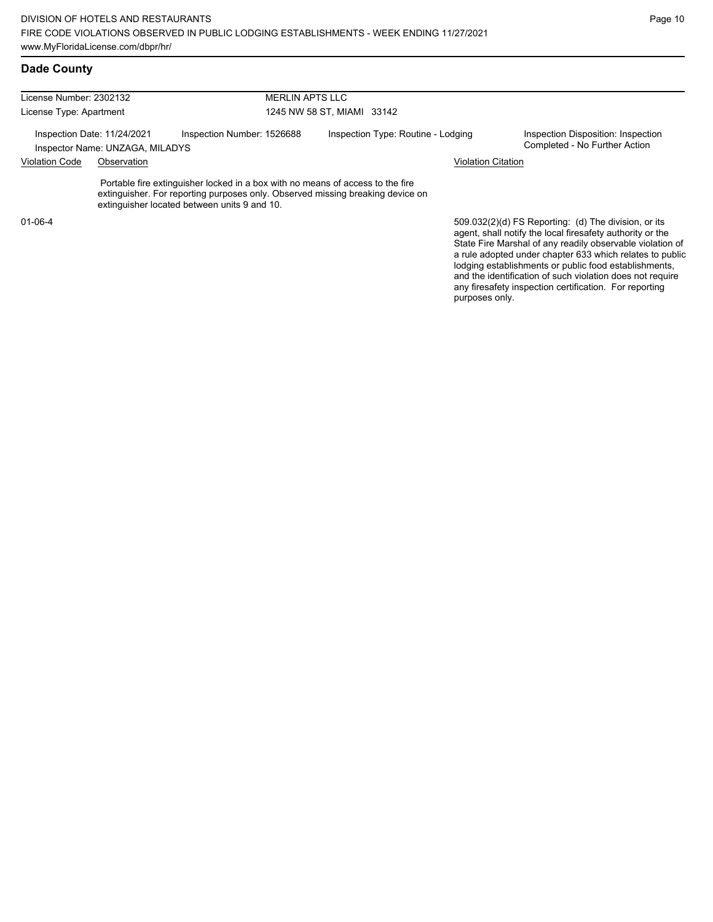License Number: 2302132 License Type: Apartment MERLIN APTS LLC 1245 NW 58 ST, MIAMI 33142 Inspection Date: 11/24/2021 Inspection Number: 1526688 Inspection Type: Routine - Lodging Inspection Disposition: Inspection<br>Inspector Name: UNZAGA MILADYS Inspector Name: UNZAGA, MILADYS Violation Code Observation Violation Citation Portable fire extinguisher locked in a box with no means of access to the fire extinguisher. For reporting purposes only. Observed missing breaking device on extinguisher located between units 9 and 10. 509.032(2)(d) FS Reporting: (d) The division, or its 01-06-4

agent, shall notify the local firesafety authority or the State Fire Marshal of any readily observable violation of a rule adopted under chapter 633 which relates to public lodging establishments or public food establishments, and the identification of such violation does not require any firesafety inspection certification. For reporting purposes only.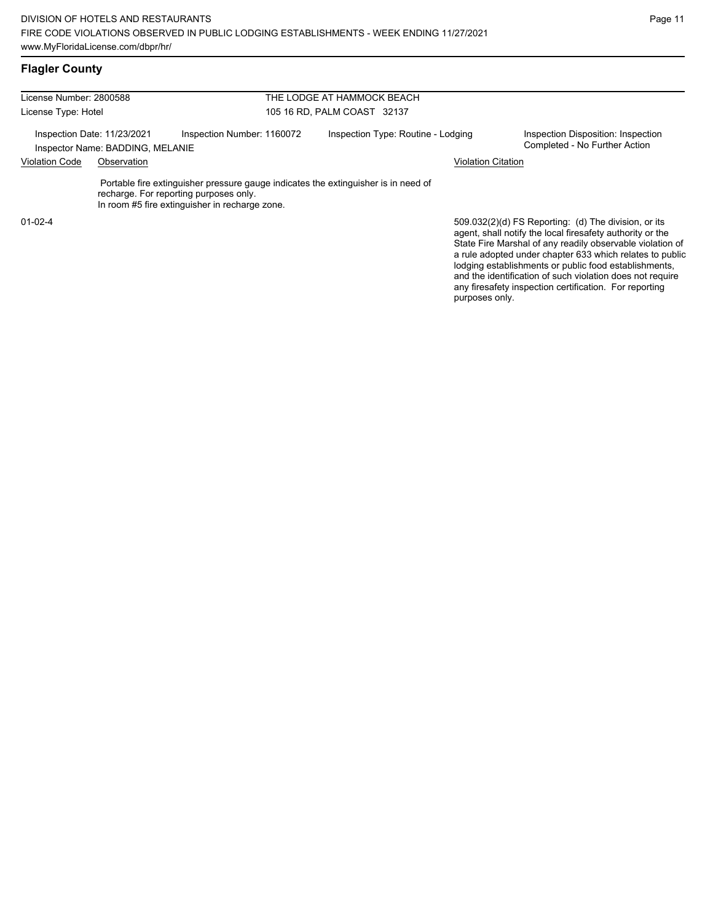| License Number: 2800588                                         |             |                                                                                                                                                                                | THE LODGE AT HAMMOCK BEACH  |                                                                                                                                                                                                                                            |
|-----------------------------------------------------------------|-------------|--------------------------------------------------------------------------------------------------------------------------------------------------------------------------------|-----------------------------|--------------------------------------------------------------------------------------------------------------------------------------------------------------------------------------------------------------------------------------------|
| License Type: Hotel                                             |             |                                                                                                                                                                                | 105 16 RD, PALM COAST 32137 |                                                                                                                                                                                                                                            |
| Inspection Date: 11/23/2021<br>Inspector Name: BADDING, MELANIE |             | Inspection Number: 1160072<br>Inspection Type: Routine - Lodging                                                                                                               |                             | Inspection Disposition: Inspection<br>Completed - No Further Action                                                                                                                                                                        |
| <b>Violation Code</b>                                           | Observation |                                                                                                                                                                                |                             | <b>Violation Citation</b>                                                                                                                                                                                                                  |
|                                                                 |             | Portable fire extinguisher pressure gauge indicates the extinguisher is in need of<br>recharge. For reporting purposes only.<br>In room #5 fire extinguisher in recharge zone. |                             |                                                                                                                                                                                                                                            |
| $01 - 02 - 4$                                                   |             |                                                                                                                                                                                |                             | 509.032(2)(d) FS Reporting: (d) The division, or its<br>agent, shall notify the local firesafety authority or the<br>State Fire Marshal of any readily observable violation of<br>a rule adopted under chapter 633 which relates to public |

lodging establishments or public food establishments, and the identification of such violation does not require any firesafety inspection certification. For reporting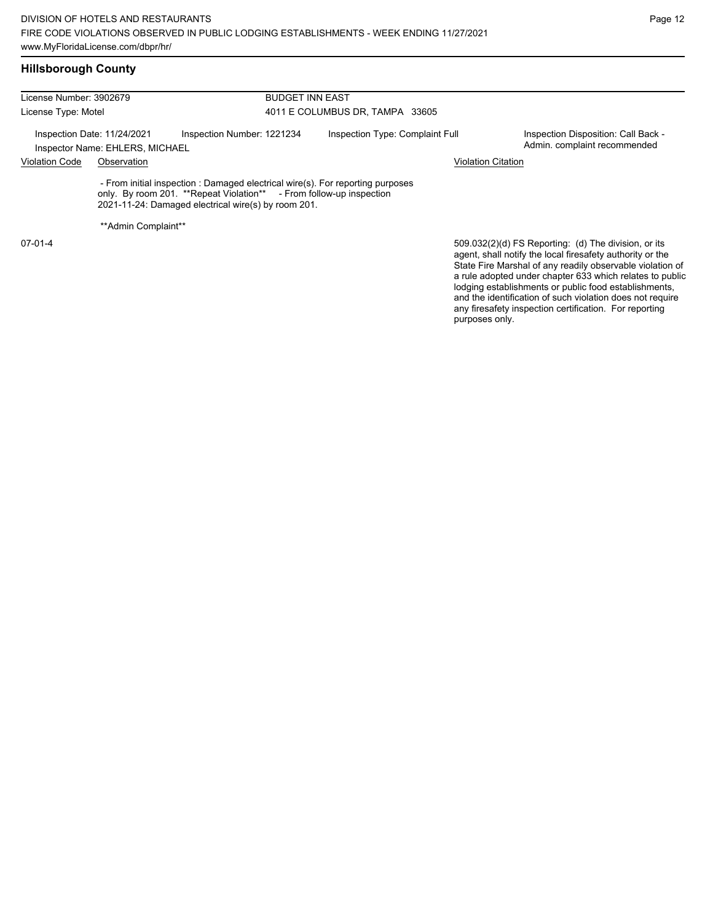| License Number: 3902679<br>License Type: Motel<br>Inspection Date: 11/24/2021<br>Inspector Name: EHLERS, MICHAEL |                      |                                                                                                                                                                                                              | <b>BUDGET INN EAST</b>          |                                                                                                                                                                                                                                            |  |  |  |  |
|------------------------------------------------------------------------------------------------------------------|----------------------|--------------------------------------------------------------------------------------------------------------------------------------------------------------------------------------------------------------|---------------------------------|--------------------------------------------------------------------------------------------------------------------------------------------------------------------------------------------------------------------------------------------|--|--|--|--|
|                                                                                                                  |                      |                                                                                                                                                                                                              | 4011 E COLUMBUS DR, TAMPA 33605 |                                                                                                                                                                                                                                            |  |  |  |  |
|                                                                                                                  |                      | Inspection Number: 1221234                                                                                                                                                                                   | Inspection Type: Complaint Full | Inspection Disposition: Call Back -<br>Admin. complaint recommended                                                                                                                                                                        |  |  |  |  |
| <b>Violation Code</b>                                                                                            | Observation          | <b>Violation Citation</b>                                                                                                                                                                                    |                                 |                                                                                                                                                                                                                                            |  |  |  |  |
|                                                                                                                  |                      | - From initial inspection : Damaged electrical wire(s). For reporting purposes<br>only. By room 201. **Repeat Violation** - From follow-up inspection<br>2021-11-24: Damaged electrical wire(s) by room 201. |                                 |                                                                                                                                                                                                                                            |  |  |  |  |
|                                                                                                                  | ** Admin Complaint** |                                                                                                                                                                                                              |                                 |                                                                                                                                                                                                                                            |  |  |  |  |
| $07-01-4$                                                                                                        |                      |                                                                                                                                                                                                              |                                 | 509.032(2)(d) FS Reporting: (d) The division, or its<br>agent, shall notify the local firesafety authority or the<br>State Fire Marshal of any readily observable violation of<br>a rule adopted under chapter 633 which relates to public |  |  |  |  |

Page 12

lodging establishments or public food establishments, and the identification of such violation does not require any firesafety inspection certification. For reporting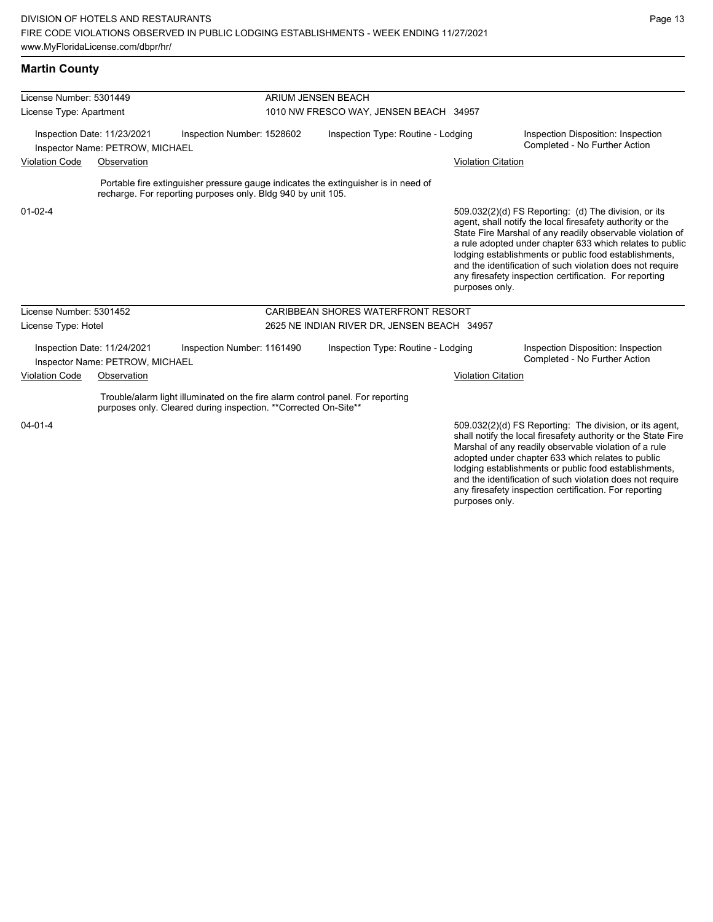#### **Martin County**

| License Number: 5301449 |                                                                |                                                                                                                                                    | ARIUM JENSEN BEACH                     |                                                                                                           |                           |                                                                                                                                                                                                                                                                                                                                                                                                                            |  |
|-------------------------|----------------------------------------------------------------|----------------------------------------------------------------------------------------------------------------------------------------------------|----------------------------------------|-----------------------------------------------------------------------------------------------------------|---------------------------|----------------------------------------------------------------------------------------------------------------------------------------------------------------------------------------------------------------------------------------------------------------------------------------------------------------------------------------------------------------------------------------------------------------------------|--|
| License Type: Apartment |                                                                |                                                                                                                                                    | 1010 NW FRESCO WAY, JENSEN BEACH 34957 |                                                                                                           |                           |                                                                                                                                                                                                                                                                                                                                                                                                                            |  |
|                         | Inspection Date: 11/23/2021<br>Inspector Name: PETROW, MICHAEL | Inspection Number: 1528602                                                                                                                         |                                        | Inspection Type: Routine - Lodging<br>Inspection Disposition: Inspection<br>Completed - No Further Action |                           |                                                                                                                                                                                                                                                                                                                                                                                                                            |  |
| <b>Violation Code</b>   | Observation                                                    |                                                                                                                                                    |                                        |                                                                                                           | <b>Violation Citation</b> |                                                                                                                                                                                                                                                                                                                                                                                                                            |  |
|                         |                                                                | recharge. For reporting purposes only. Bldg 940 by unit 105.                                                                                       |                                        | Portable fire extinguisher pressure gauge indicates the extinguisher is in need of                        |                           |                                                                                                                                                                                                                                                                                                                                                                                                                            |  |
| $01 - 02 - 4$           |                                                                |                                                                                                                                                    |                                        |                                                                                                           | purposes only.            | 509.032(2)(d) FS Reporting: (d) The division, or its<br>agent, shall notify the local firesafety authority or the<br>State Fire Marshal of any readily observable violation of<br>a rule adopted under chapter 633 which relates to public<br>lodging establishments or public food establishments,<br>and the identification of such violation does not require<br>any firesafety inspection certification. For reporting |  |
| License Number: 5301452 |                                                                |                                                                                                                                                    |                                        | <b>CARIBBEAN SHORES WATERFRONT RESORT</b>                                                                 |                           |                                                                                                                                                                                                                                                                                                                                                                                                                            |  |
| License Type: Hotel     |                                                                |                                                                                                                                                    |                                        | 2625 NE INDIAN RIVER DR, JENSEN BEACH 34957                                                               |                           |                                                                                                                                                                                                                                                                                                                                                                                                                            |  |
|                         | Inspection Date: 11/24/2021<br>Inspector Name: PETROW, MICHAEL | Inspection Number: 1161490                                                                                                                         |                                        | Inspection Type: Routine - Lodging                                                                        |                           | Inspection Disposition: Inspection<br>Completed - No Further Action                                                                                                                                                                                                                                                                                                                                                        |  |
| <b>Violation Code</b>   | Observation                                                    |                                                                                                                                                    |                                        |                                                                                                           | <b>Violation Citation</b> |                                                                                                                                                                                                                                                                                                                                                                                                                            |  |
|                         |                                                                | Trouble/alarm light illuminated on the fire alarm control panel. For reporting<br>purposes only. Cleared during inspection. ** Corrected On-Site** |                                        |                                                                                                           |                           |                                                                                                                                                                                                                                                                                                                                                                                                                            |  |
| $04 - 01 - 4$           |                                                                |                                                                                                                                                    |                                        |                                                                                                           |                           | 509.032(2)(d) FS Reporting: The division, or its agent,<br>shall notify the local firesafety authority or the State Fire<br>Marshal of any readily observable violation of a rule<br>adopted under chapter 633 which relates to public<br>lodging establishments or public food establishments,                                                                                                                            |  |

and the identification of such violation does not require any firesafety inspection certification. For reporting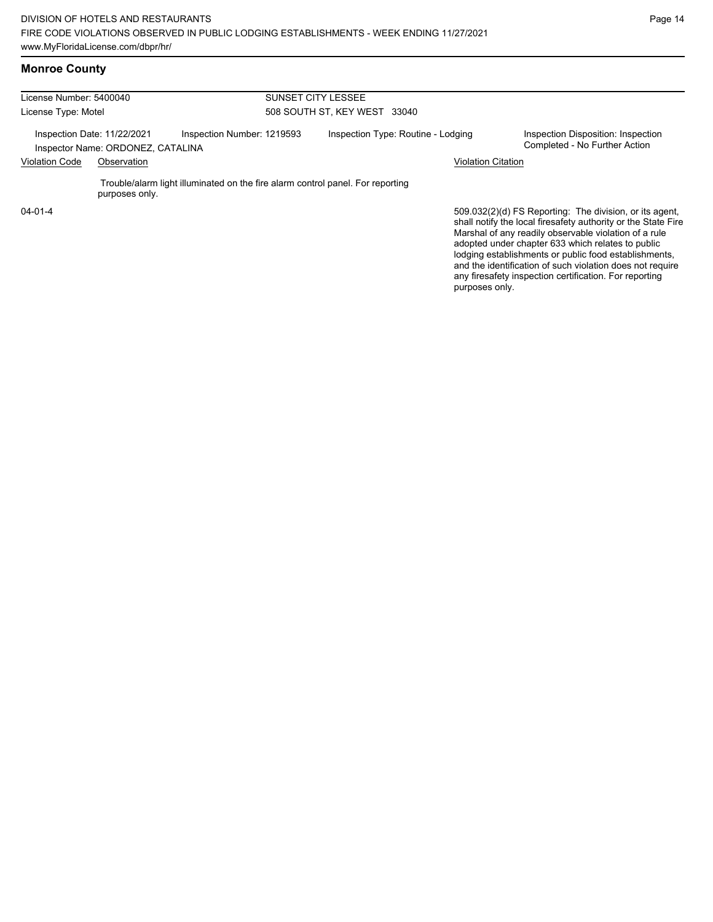lodging establishments or public food establishments, and the identification of such violation does not require any firesafety inspection certification. For reporting

purposes only.

# **Monroe County**

| License Number: 5400040                                                                        |                |                                                                                | <b>SUNSET CITY LESSEE</b>          |  |                                                                     |                                                                                                                                                                                                                                        |  |
|------------------------------------------------------------------------------------------------|----------------|--------------------------------------------------------------------------------|------------------------------------|--|---------------------------------------------------------------------|----------------------------------------------------------------------------------------------------------------------------------------------------------------------------------------------------------------------------------------|--|
| License Type: Motel                                                                            |                |                                                                                | 508 SOUTH ST. KEY WEST 33040       |  |                                                                     |                                                                                                                                                                                                                                        |  |
| Inspection Number: 1219593<br>Inspection Date: 11/22/2021<br>Inspector Name: ORDONEZ, CATALINA |                |                                                                                | Inspection Type: Routine - Lodging |  | Inspection Disposition: Inspection<br>Completed - No Further Action |                                                                                                                                                                                                                                        |  |
| <b>Violation Code</b>                                                                          | Observation    |                                                                                |                                    |  | <b>Violation Citation</b>                                           |                                                                                                                                                                                                                                        |  |
|                                                                                                | purposes only. | Trouble/alarm light illuminated on the fire alarm control panel. For reporting |                                    |  |                                                                     |                                                                                                                                                                                                                                        |  |
| $04 - 01 - 4$                                                                                  |                |                                                                                |                                    |  |                                                                     | 509.032(2)(d) FS Reporting: The division, or its agent,<br>shall notify the local firesafety authority or the State Fire<br>Marshal of any readily observable violation of a rule<br>adopted under chapter 633 which relates to public |  |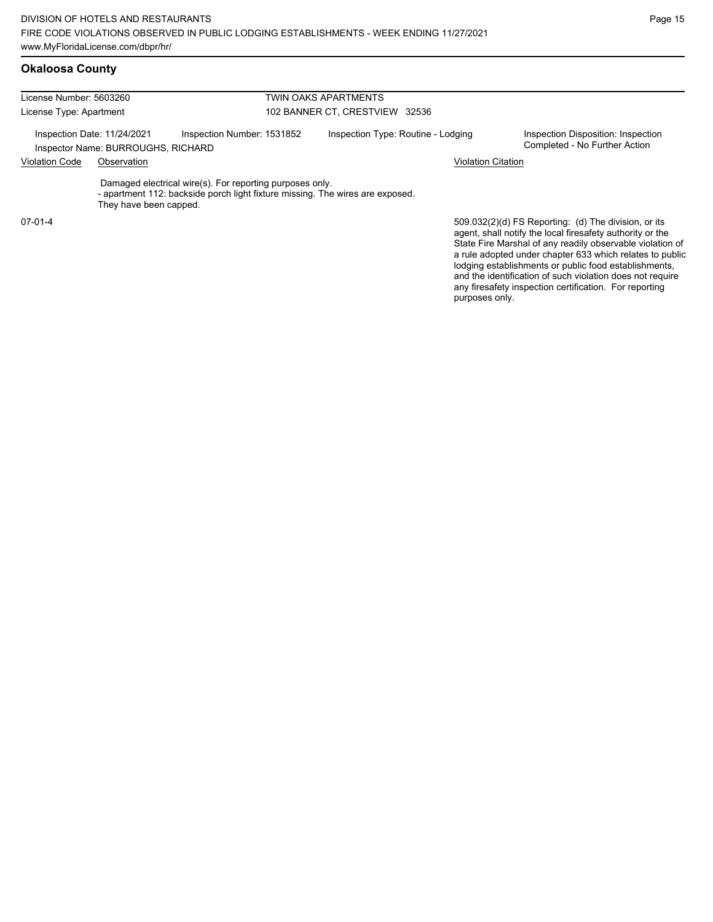| License Number: 5603260 |                                                                   |                                                                                                                                           | TWIN OAKS APARTMENTS               |                                                                                                                   |  |  |  |
|-------------------------|-------------------------------------------------------------------|-------------------------------------------------------------------------------------------------------------------------------------------|------------------------------------|-------------------------------------------------------------------------------------------------------------------|--|--|--|
| License Type: Apartment |                                                                   |                                                                                                                                           | 102 BANNER CT, CRESTVIEW 32536     |                                                                                                                   |  |  |  |
|                         | Inspection Date: 11/24/2021<br>Inspector Name: BURROUGHS, RICHARD | Inspection Number: 1531852                                                                                                                | Inspection Type: Routine - Lodging | Inspection Disposition: Inspection<br>Completed - No Further Action                                               |  |  |  |
| <b>Violation Code</b>   | Observation                                                       |                                                                                                                                           | <b>Violation Citation</b>          |                                                                                                                   |  |  |  |
|                         | They have been capped.                                            | Damaged electrical wire(s). For reporting purposes only.<br>- apartment 112: backside porch light fixture missing. The wires are exposed. |                                    |                                                                                                                   |  |  |  |
| $07-01-4$               |                                                                   |                                                                                                                                           |                                    | 509.032(2)(d) FS Reporting: (d) The division, or its<br>agent, shall notify the local firesafety authority or the |  |  |  |

State Fire Marshal of any readily observable violation of a rule adopted under chapter 633 which relates to public lodging establishments or public food establishments, and the identification of such violation does not require any firesafety inspection certification. For reporting purposes only.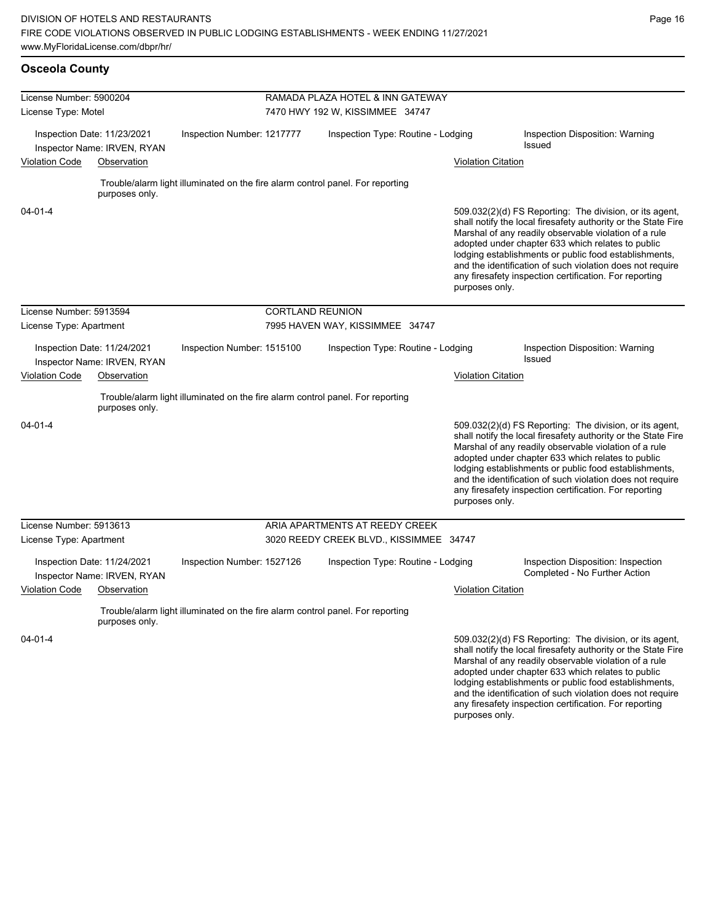**Osceola County**

and the identification of such violation does not require any firesafety inspection certification. For reporting

| License Number: 5900204                                    |                                                            |                                                                                | RAMADA PLAZA HOTEL & INN GATEWAY        |                           |                                                                                                                                                                                                                                                                                                                                                                                                                        |  |  |  |
|------------------------------------------------------------|------------------------------------------------------------|--------------------------------------------------------------------------------|-----------------------------------------|---------------------------|------------------------------------------------------------------------------------------------------------------------------------------------------------------------------------------------------------------------------------------------------------------------------------------------------------------------------------------------------------------------------------------------------------------------|--|--|--|
| License Type: Motel                                        |                                                            |                                                                                | 7470 HWY 192 W, KISSIMMEE 34747         |                           |                                                                                                                                                                                                                                                                                                                                                                                                                        |  |  |  |
| Inspection Date: 11/23/2021<br>Inspector Name: IRVEN, RYAN |                                                            | Inspection Number: 1217777                                                     | Inspection Type: Routine - Lodging      |                           | Inspection Disposition: Warning<br><b>Issued</b>                                                                                                                                                                                                                                                                                                                                                                       |  |  |  |
| Violation Code                                             | Observation                                                |                                                                                |                                         | <b>Violation Citation</b> |                                                                                                                                                                                                                                                                                                                                                                                                                        |  |  |  |
|                                                            | purposes only.                                             | Trouble/alarm light illuminated on the fire alarm control panel. For reporting |                                         |                           |                                                                                                                                                                                                                                                                                                                                                                                                                        |  |  |  |
| $04 - 01 - 4$                                              |                                                            |                                                                                |                                         | purposes only.            | 509.032(2)(d) FS Reporting: The division, or its agent,<br>shall notify the local firesafety authority or the State Fire<br>Marshal of any readily observable violation of a rule<br>adopted under chapter 633 which relates to public<br>lodging establishments or public food establishments,<br>and the identification of such violation does not require<br>any firesafety inspection certification. For reporting |  |  |  |
| License Number: 5913594                                    |                                                            |                                                                                | <b>CORTLAND REUNION</b>                 |                           |                                                                                                                                                                                                                                                                                                                                                                                                                        |  |  |  |
| License Type: Apartment                                    |                                                            |                                                                                | 7995 HAVEN WAY, KISSIMMEE 34747         |                           |                                                                                                                                                                                                                                                                                                                                                                                                                        |  |  |  |
|                                                            | Inspection Date: 11/24/2021<br>Inspector Name: IRVEN, RYAN | Inspection Number: 1515100                                                     | Inspection Type: Routine - Lodging      |                           | Inspection Disposition: Warning<br><b>Issued</b>                                                                                                                                                                                                                                                                                                                                                                       |  |  |  |
| <b>Violation Code</b>                                      | Observation                                                |                                                                                |                                         | <b>Violation Citation</b> |                                                                                                                                                                                                                                                                                                                                                                                                                        |  |  |  |
|                                                            | purposes only.                                             | Trouble/alarm light illuminated on the fire alarm control panel. For reporting |                                         |                           |                                                                                                                                                                                                                                                                                                                                                                                                                        |  |  |  |
| $04 - 01 - 4$                                              |                                                            |                                                                                |                                         | purposes only.            | 509.032(2)(d) FS Reporting: The division, or its agent,<br>shall notify the local firesafety authority or the State Fire<br>Marshal of any readily observable violation of a rule<br>adopted under chapter 633 which relates to public<br>lodging establishments or public food establishments,<br>and the identification of such violation does not require<br>any firesafety inspection certification. For reporting |  |  |  |
| License Number: 5913613                                    |                                                            |                                                                                | ARIA APARTMENTS AT REEDY CREEK          |                           |                                                                                                                                                                                                                                                                                                                                                                                                                        |  |  |  |
| License Type: Apartment                                    |                                                            |                                                                                | 3020 REEDY CREEK BLVD., KISSIMMEE 34747 |                           |                                                                                                                                                                                                                                                                                                                                                                                                                        |  |  |  |
|                                                            | Inspection Date: 11/24/2021<br>Inspector Name: IRVEN, RYAN | Inspection Number: 1527126                                                     | Inspection Type: Routine - Lodging      |                           | Inspection Disposition: Inspection<br>Completed - No Further Action                                                                                                                                                                                                                                                                                                                                                    |  |  |  |
| Violation Code                                             | Observation                                                |                                                                                |                                         | <b>Violation Citation</b> |                                                                                                                                                                                                                                                                                                                                                                                                                        |  |  |  |
|                                                            | purposes only.                                             | Trouble/alarm light illuminated on the fire alarm control panel. For reporting |                                         |                           |                                                                                                                                                                                                                                                                                                                                                                                                                        |  |  |  |
| $04 - 01 - 4$                                              |                                                            |                                                                                |                                         |                           | 509.032(2)(d) FS Reporting: The division, or its agent,<br>shall notify the local firesafety authority or the State Fire<br>Marshal of any readily observable violation of a rule<br>adopted under chapter 633 which relates to public<br>lodging establishments or public food establishments,                                                                                                                        |  |  |  |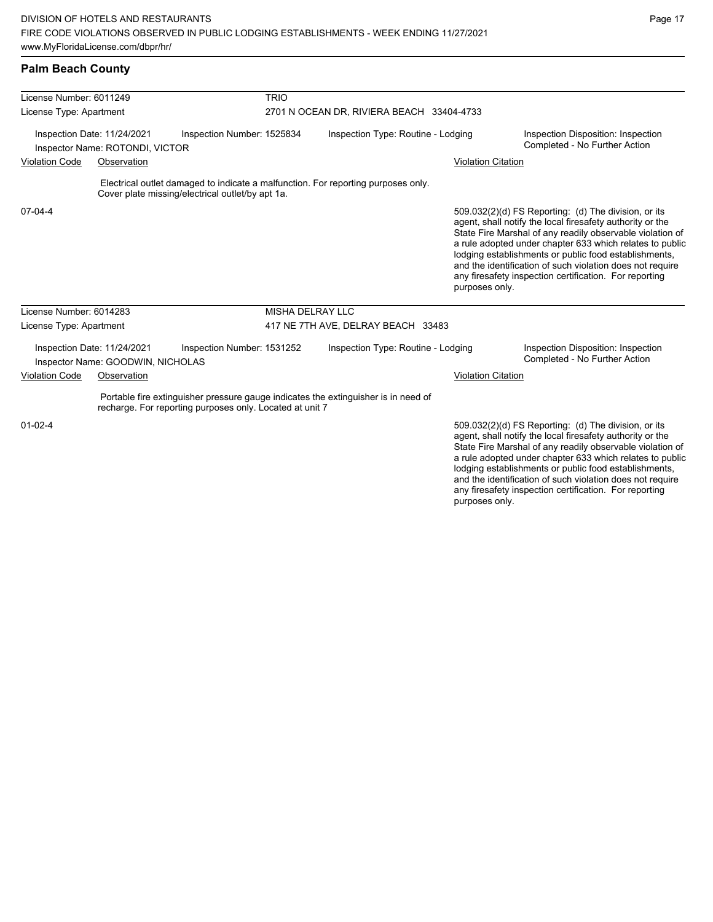any firesafety inspection certification. For reporting

purposes only.

# **Palm Beach County**

| License Number: 6011249                                        |                                                                  | <b>TRIO</b>                                                                                                                                    |                                           |                           |                                                                                                                                                                                                                                                                                                                                                                                                                            |  |  |
|----------------------------------------------------------------|------------------------------------------------------------------|------------------------------------------------------------------------------------------------------------------------------------------------|-------------------------------------------|---------------------------|----------------------------------------------------------------------------------------------------------------------------------------------------------------------------------------------------------------------------------------------------------------------------------------------------------------------------------------------------------------------------------------------------------------------------|--|--|
| License Type: Apartment                                        |                                                                  |                                                                                                                                                | 2701 N OCEAN DR, RIVIERA BEACH 33404-4733 |                           |                                                                                                                                                                                                                                                                                                                                                                                                                            |  |  |
| Inspection Date: 11/24/2021<br>Inspector Name: ROTONDI, VICTOR |                                                                  | Inspection Number: 1525834                                                                                                                     | Inspection Type: Routine - Lodging        |                           | Inspection Disposition: Inspection<br>Completed - No Further Action                                                                                                                                                                                                                                                                                                                                                        |  |  |
| <b>Violation Code</b><br>Observation                           |                                                                  |                                                                                                                                                |                                           | <b>Violation Citation</b> |                                                                                                                                                                                                                                                                                                                                                                                                                            |  |  |
|                                                                |                                                                  | Electrical outlet damaged to indicate a malfunction. For reporting purposes only.<br>Cover plate missing/electrical outlet/by apt 1a.          |                                           |                           |                                                                                                                                                                                                                                                                                                                                                                                                                            |  |  |
| $07-04-4$                                                      |                                                                  |                                                                                                                                                |                                           | purposes only.            | 509.032(2)(d) FS Reporting: (d) The division, or its<br>agent, shall notify the local firesafety authority or the<br>State Fire Marshal of any readily observable violation of<br>a rule adopted under chapter 633 which relates to public<br>lodging establishments or public food establishments,<br>and the identification of such violation does not require<br>any firesafety inspection certification. For reporting |  |  |
| License Number: 6014283                                        |                                                                  | <b>MISHA DELRAY LLC</b>                                                                                                                        |                                           |                           |                                                                                                                                                                                                                                                                                                                                                                                                                            |  |  |
| License Type: Apartment                                        |                                                                  |                                                                                                                                                | 417 NE 7TH AVE, DELRAY BEACH 33483        |                           |                                                                                                                                                                                                                                                                                                                                                                                                                            |  |  |
|                                                                | Inspection Date: 11/24/2021<br>Inspector Name: GOODWIN, NICHOLAS | Inspection Number: 1531252                                                                                                                     | Inspection Type: Routine - Lodging        |                           | Inspection Disposition: Inspection<br>Completed - No Further Action                                                                                                                                                                                                                                                                                                                                                        |  |  |
| <b>Violation Code</b>                                          | Observation                                                      |                                                                                                                                                |                                           | <b>Violation Citation</b> |                                                                                                                                                                                                                                                                                                                                                                                                                            |  |  |
|                                                                |                                                                  | Portable fire extinguisher pressure gauge indicates the extinguisher is in need of<br>recharge. For reporting purposes only. Located at unit 7 |                                           |                           |                                                                                                                                                                                                                                                                                                                                                                                                                            |  |  |
| $01 - 02 - 4$                                                  |                                                                  |                                                                                                                                                |                                           |                           | 509.032(2)(d) FS Reporting: (d) The division, or its<br>agent, shall notify the local firesafety authority or the<br>State Fire Marshal of any readily observable violation of<br>a rule adopted under chapter 633 which relates to public<br>lodging establishments or public food establishments,<br>and the identification of such violation does not require                                                           |  |  |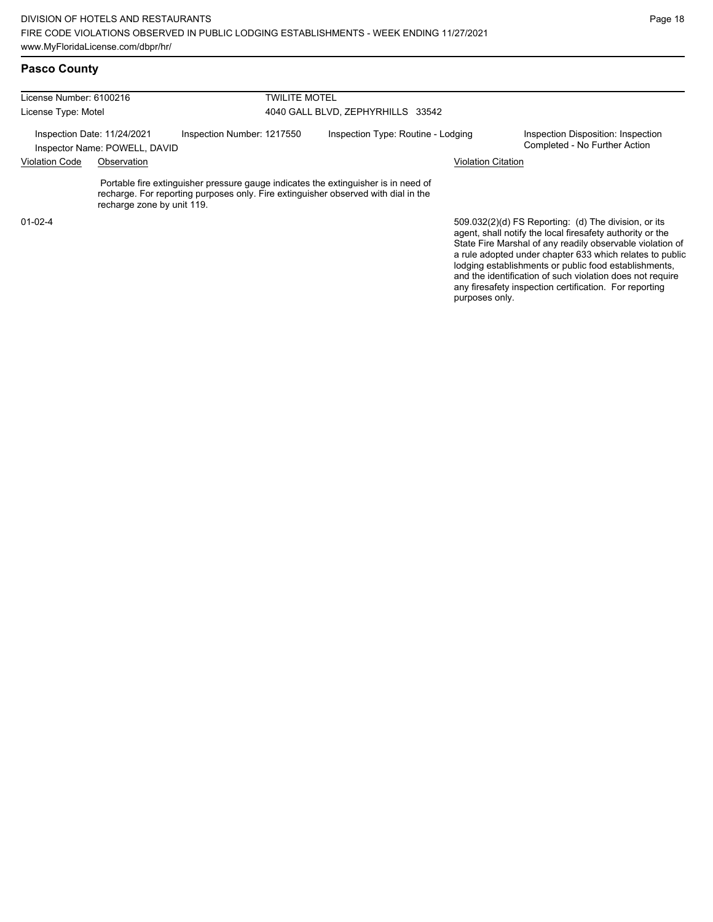| License Number: 6100216                                                                    |                            | TWILITE MOTEL             |                                    |                                                                                                                                                                          |                                                                     |                                                      |
|--------------------------------------------------------------------------------------------|----------------------------|---------------------------|------------------------------------|--------------------------------------------------------------------------------------------------------------------------------------------------------------------------|---------------------------------------------------------------------|------------------------------------------------------|
| License Type: Motel                                                                        |                            |                           | 4040 GALL BLVD, ZEPHYRHILLS 33542  |                                                                                                                                                                          |                                                                     |                                                      |
| Inspection Number: 1217550<br>Inspection Date: 11/24/2021<br>Inspector Name: POWELL, DAVID |                            |                           | Inspection Type: Routine - Lodging |                                                                                                                                                                          | Inspection Disposition: Inspection<br>Completed - No Further Action |                                                      |
| <b>Violation Code</b><br>Observation                                                       |                            | <b>Violation Citation</b> |                                    |                                                                                                                                                                          |                                                                     |                                                      |
|                                                                                            | recharge zone by unit 119. |                           |                                    | Portable fire extinguisher pressure gauge indicates the extinguisher is in need of<br>recharge. For reporting purposes only. Fire extinguisher observed with dial in the |                                                                     |                                                      |
| $01 - 02 - 4$                                                                              |                            |                           |                                    |                                                                                                                                                                          |                                                                     | 509.032(2)(d) FS Reporting: (d) The division, or its |

agent, shall notify the local firesafety authority or the State Fire Marshal of any readily observable violation of a rule adopted under chapter 633 which relates to public lodging establishments or public food establishments, and the identification of such violation does not require any firesafety inspection certification. For reporting purposes only.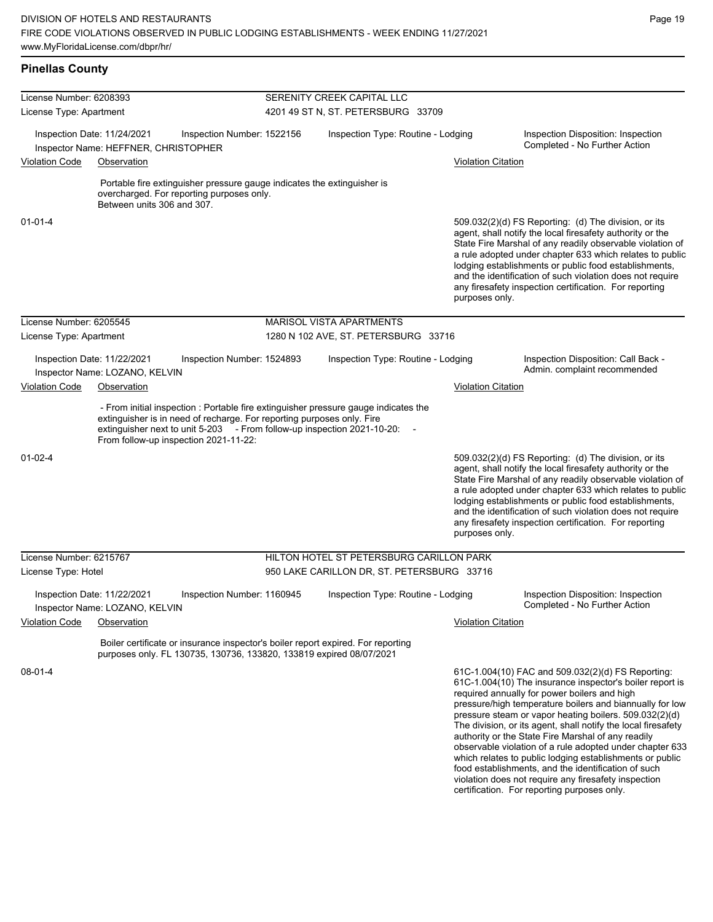| License Number: 6208393 |                                                                     |                                                                                                                                                                                            | SERENITY CREEK CAPITAL LLC         |                                                                                     |                           |                                                                                                                                                                                                                                                                                                                                                                                                                                                                                                                                                                                                                                                   |  |  |
|-------------------------|---------------------------------------------------------------------|--------------------------------------------------------------------------------------------------------------------------------------------------------------------------------------------|------------------------------------|-------------------------------------------------------------------------------------|---------------------------|---------------------------------------------------------------------------------------------------------------------------------------------------------------------------------------------------------------------------------------------------------------------------------------------------------------------------------------------------------------------------------------------------------------------------------------------------------------------------------------------------------------------------------------------------------------------------------------------------------------------------------------------------|--|--|
| License Type: Apartment |                                                                     |                                                                                                                                                                                            | 4201 49 ST N, ST. PETERSBURG 33709 |                                                                                     |                           |                                                                                                                                                                                                                                                                                                                                                                                                                                                                                                                                                                                                                                                   |  |  |
|                         | Inspection Date: 11/24/2021<br>Inspector Name: HEFFNER, CHRISTOPHER | Inspection Number: 1522156                                                                                                                                                                 |                                    | Inspection Type: Routine - Lodging                                                  |                           | Inspection Disposition: Inspection<br>Completed - No Further Action                                                                                                                                                                                                                                                                                                                                                                                                                                                                                                                                                                               |  |  |
| <b>Violation Code</b>   | Observation                                                         |                                                                                                                                                                                            |                                    |                                                                                     | <b>Violation Citation</b> |                                                                                                                                                                                                                                                                                                                                                                                                                                                                                                                                                                                                                                                   |  |  |
|                         | Between units 306 and 307.                                          | Portable fire extinguisher pressure gauge indicates the extinguisher is<br>overcharged. For reporting purposes only.                                                                       |                                    |                                                                                     |                           |                                                                                                                                                                                                                                                                                                                                                                                                                                                                                                                                                                                                                                                   |  |  |
| $01 - 01 - 4$           |                                                                     |                                                                                                                                                                                            |                                    |                                                                                     | purposes only.            | $509.032(2)(d)$ FS Reporting: (d) The division, or its<br>agent, shall notify the local firesafety authority or the<br>State Fire Marshal of any readily observable violation of<br>a rule adopted under chapter 633 which relates to public<br>lodging establishments or public food establishments,<br>and the identification of such violation does not require<br>any firesafety inspection certification. For reporting                                                                                                                                                                                                                      |  |  |
| License Number: 6205545 |                                                                     |                                                                                                                                                                                            |                                    | MARISOL VISTA APARTMENTS                                                            |                           |                                                                                                                                                                                                                                                                                                                                                                                                                                                                                                                                                                                                                                                   |  |  |
| License Type: Apartment |                                                                     |                                                                                                                                                                                            |                                    | 1280 N 102 AVE, ST. PETERSBURG 33716                                                |                           |                                                                                                                                                                                                                                                                                                                                                                                                                                                                                                                                                                                                                                                   |  |  |
|                         | Inspection Date: 11/22/2021<br>Inspector Name: LOZANO, KELVIN       | Inspection Number: 1524893                                                                                                                                                                 |                                    | Inspection Type: Routine - Lodging                                                  |                           | Inspection Disposition: Call Back -<br>Admin. complaint recommended                                                                                                                                                                                                                                                                                                                                                                                                                                                                                                                                                                               |  |  |
| <b>Violation Code</b>   | Observation                                                         |                                                                                                                                                                                            |                                    |                                                                                     | <b>Violation Citation</b> |                                                                                                                                                                                                                                                                                                                                                                                                                                                                                                                                                                                                                                                   |  |  |
|                         |                                                                     | extinguisher is in need of recharge. For reporting purposes only. Fire<br>extinguisher next to unit 5-203 - From follow-up inspection 2021-10-20:<br>From follow-up inspection 2021-11-22: |                                    | - From initial inspection : Portable fire extinguisher pressure gauge indicates the |                           |                                                                                                                                                                                                                                                                                                                                                                                                                                                                                                                                                                                                                                                   |  |  |
| $01 - 02 - 4$           |                                                                     |                                                                                                                                                                                            |                                    |                                                                                     | purposes only.            | 509.032(2)(d) FS Reporting (d) The division, or its<br>agent, shall notify the local firesafety authority or the<br>State Fire Marshal of any readily observable violation of<br>a rule adopted under chapter 633 which relates to public<br>lodging establishments or public food establishments,<br>and the identification of such violation does not require<br>any firesafety inspection certification. For reporting                                                                                                                                                                                                                         |  |  |
| License Number: 6215767 |                                                                     |                                                                                                                                                                                            |                                    | HILTON HOTEL ST PETERSBURG CARILLON PARK                                            |                           |                                                                                                                                                                                                                                                                                                                                                                                                                                                                                                                                                                                                                                                   |  |  |
| License Type: Hotel     |                                                                     |                                                                                                                                                                                            |                                    | 950 LAKE CARILLON DR, ST. PETERSBURG 33716                                          |                           |                                                                                                                                                                                                                                                                                                                                                                                                                                                                                                                                                                                                                                                   |  |  |
|                         | Inspection Date: 11/22/2021<br>Inspector Name: LOZANO, KELVIN       | Inspection Number: 1160945                                                                                                                                                                 |                                    | Inspection Type: Routine - Lodging                                                  |                           | Inspection Disposition: Inspection<br>Completed - No Further Action                                                                                                                                                                                                                                                                                                                                                                                                                                                                                                                                                                               |  |  |
| Violation Code          | Observation                                                         |                                                                                                                                                                                            |                                    |                                                                                     | <b>Violation Citation</b> |                                                                                                                                                                                                                                                                                                                                                                                                                                                                                                                                                                                                                                                   |  |  |
|                         |                                                                     | Boiler certificate or insurance inspector's boiler report expired. For reporting<br>purposes only. FL 130735, 130736, 133820, 133819 expired 08/07/2021                                    |                                    |                                                                                     |                           |                                                                                                                                                                                                                                                                                                                                                                                                                                                                                                                                                                                                                                                   |  |  |
| $08 - 01 - 4$           |                                                                     |                                                                                                                                                                                            |                                    |                                                                                     |                           | 61C-1.004(10) FAC and 509.032(2)(d) FS Reporting:<br>61C-1.004(10) The insurance inspector's boiler report is<br>required annually for power boilers and high<br>pressure/high temperature boilers and biannually for low<br>pressure steam or vapor heating boilers. 509.032(2)(d)<br>The division, or its agent, shall notify the local firesafety<br>authority or the State Fire Marshal of any readily<br>observable violation of a rule adopted under chapter 633<br>which relates to public lodging establishments or public<br>food establishments, and the identification of such<br>violation does not require any firesafety inspection |  |  |

certification. For reporting purposes only.

Page 19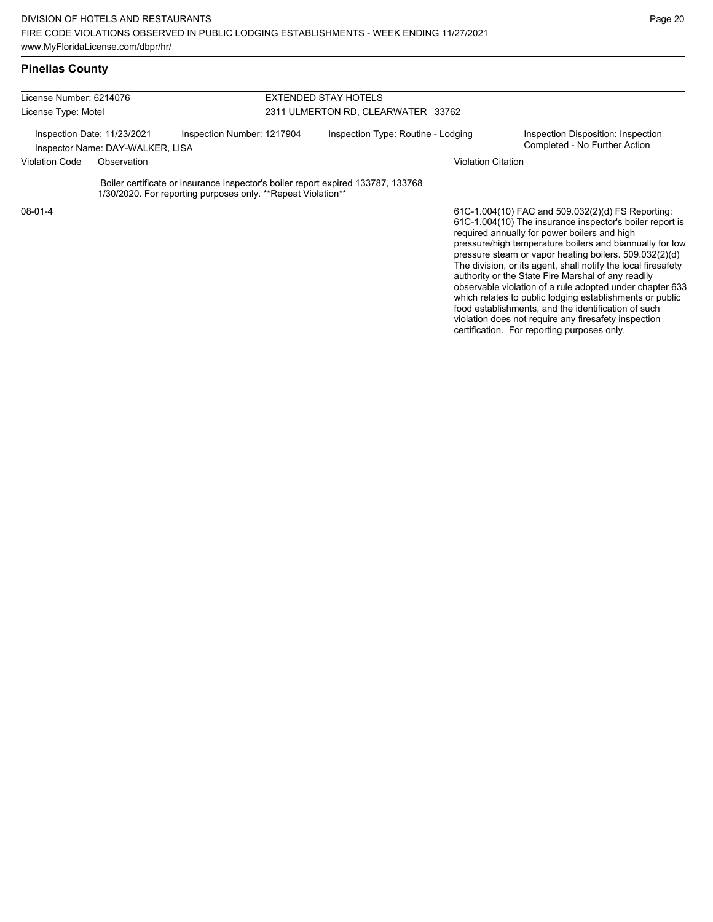## **Pinellas County**

| License Number: 6214076                                         |  |                                                                                                                                                   | <b>EXTENDED STAY HOTELS</b>        |                                                                                                                                                                                                                            |  |  |
|-----------------------------------------------------------------|--|---------------------------------------------------------------------------------------------------------------------------------------------------|------------------------------------|----------------------------------------------------------------------------------------------------------------------------------------------------------------------------------------------------------------------------|--|--|
| License Type: Motel                                             |  |                                                                                                                                                   | 2311 ULMERTON RD, CLEARWATER 33762 |                                                                                                                                                                                                                            |  |  |
| Inspection Date: 11/23/2021<br>Inspector Name: DAY-WALKER, LISA |  | Inspection Number: 1217904                                                                                                                        | Inspection Type: Routine - Lodging | Inspection Disposition: Inspection<br>Completed - No Further Action                                                                                                                                                        |  |  |
| <b>Violation Code</b><br>Observation                            |  |                                                                                                                                                   | <b>Violation Citation</b>          |                                                                                                                                                                                                                            |  |  |
|                                                                 |  | Boiler certificate or insurance inspector's boiler report expired 133787, 133768<br>1/30/2020. For reporting purposes only. ** Repeat Violation** |                                    |                                                                                                                                                                                                                            |  |  |
| $08-01-4$                                                       |  |                                                                                                                                                   |                                    | 61C-1.004(10) FAC and 509.032(2)(d) FS Reporting:<br>61C-1.004(10) The insurance inspector's boiler report is<br>required annually for power boilers and high<br>processed bigh tomporature hollows and bionpually for low |  |  |

pressure/high temperature boilers and biannually for low pressure steam or vapor heating boilers. 509.032(2)(d) The division, or its agent, shall notify the local firesafety authority or the State Fire Marshal of any readily observable violation of a rule adopted under chapter 633 which relates to public lodging establishments or public food establishments, and the identification of such violation does not require any firesafety inspection certification. For reporting purposes only.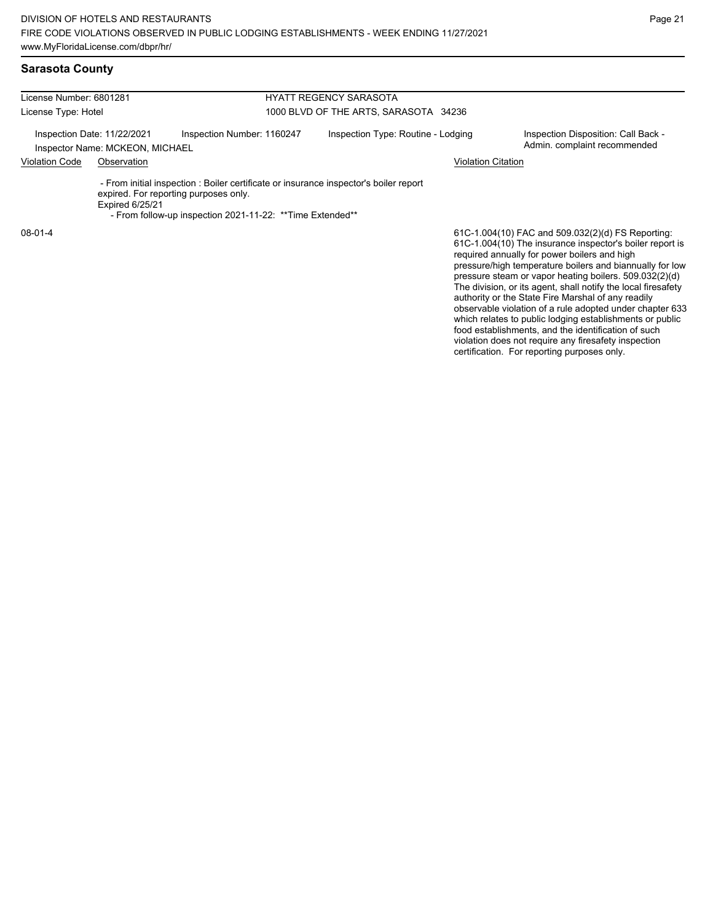| License Number: 6801281<br>License Type: Hotel                 |                        |                                                                                                                                                                                              | <b>HYATT REGENCY SARASOTA</b>         |                                                                                                                                                                    |  |  |
|----------------------------------------------------------------|------------------------|----------------------------------------------------------------------------------------------------------------------------------------------------------------------------------------------|---------------------------------------|--------------------------------------------------------------------------------------------------------------------------------------------------------------------|--|--|
|                                                                |                        |                                                                                                                                                                                              | 1000 BLVD OF THE ARTS, SARASOTA 34236 |                                                                                                                                                                    |  |  |
| Inspection Date: 11/22/2021<br>Inspector Name: MCKEON, MICHAEL |                        | Inspection Number: 1160247                                                                                                                                                                   | Inspection Type: Routine - Lodging    | Inspection Disposition: Call Back -<br>Admin. complaint recommended                                                                                                |  |  |
| <b>Violation Code</b>                                          | Observation            |                                                                                                                                                                                              |                                       | <b>Violation Citation</b>                                                                                                                                          |  |  |
|                                                                | <b>Expired 6/25/21</b> | - From initial inspection : Boiler certificate or insurance inspector's boiler report<br>expired. For reporting purposes only.<br>- From follow-up inspection 2021-11-22: ** Time Extended** |                                       |                                                                                                                                                                    |  |  |
| $08-01-4$                                                      |                        |                                                                                                                                                                                              |                                       | 61C-1.004(10) FAC and 509.032(2)(d) FS Reporting:<br>61C-1.004(10) The insurance inspector's boiler report is<br>required annually for power boilers and high<br>. |  |  |

61C-1.004(10) The insurance inspector's boiler report is pressure/high temperature boilers and biannually for low pressure steam or vapor heating boilers. 509.032(2)(d) The division, or its agent, shall notify the local firesafety authority or the State Fire Marshal of any readily observable violation of a rule adopted under chapter 633 which relates to public lodging establishments or public food establishments, and the identification of such violation does not require any firesafety inspection certification. For reporting purposes only.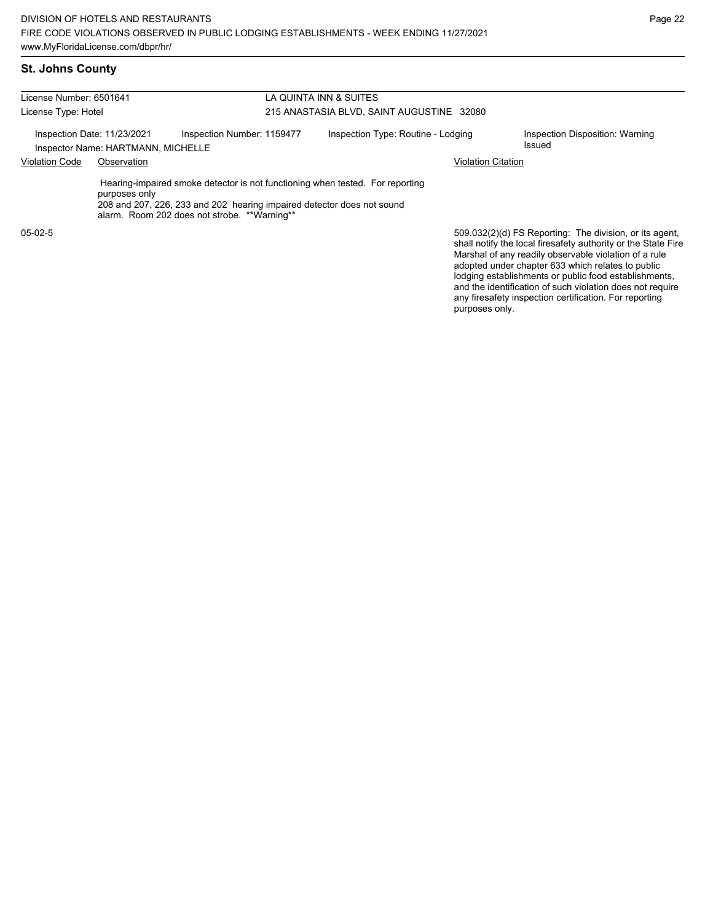| License Number: 6501641                                           |               |                                                                                                                                                                                                         | LA QUINTA INN & SUITES                    |                                                                                                                                                                                                                                        |  |  |  |
|-------------------------------------------------------------------|---------------|---------------------------------------------------------------------------------------------------------------------------------------------------------------------------------------------------------|-------------------------------------------|----------------------------------------------------------------------------------------------------------------------------------------------------------------------------------------------------------------------------------------|--|--|--|
| License Type: Hotel                                               |               |                                                                                                                                                                                                         | 215 ANASTASIA BLVD, SAINT AUGUSTINE 32080 |                                                                                                                                                                                                                                        |  |  |  |
| Inspection Date: 11/23/2021<br>Inspector Name: HARTMANN, MICHELLE |               | Inspection Number: 1159477                                                                                                                                                                              | Inspection Type: Routine - Lodging        | Inspection Disposition: Warning<br>Issued                                                                                                                                                                                              |  |  |  |
| <b>Violation Code</b><br>Observation                              |               |                                                                                                                                                                                                         | <b>Violation Citation</b>                 |                                                                                                                                                                                                                                        |  |  |  |
|                                                                   | purposes only | Hearing-impaired smoke detector is not functioning when tested. For reporting<br>208 and 207, 226, 233 and 202 hearing impaired detector does not sound<br>alarm. Room 202 does not strobe. **Warning** |                                           |                                                                                                                                                                                                                                        |  |  |  |
| $05-02-5$                                                         |               |                                                                                                                                                                                                         |                                           | 509.032(2)(d) FS Reporting: The division, or its agent,<br>shall notify the local firesafety authority or the State Fire<br>Marshal of any readily observable violation of a rule<br>adopted under chapter 633 which relates to public |  |  |  |

Page 22

lodging establishments or public food establishments, and the identification of such violation does not require any firesafety inspection certification. For reporting